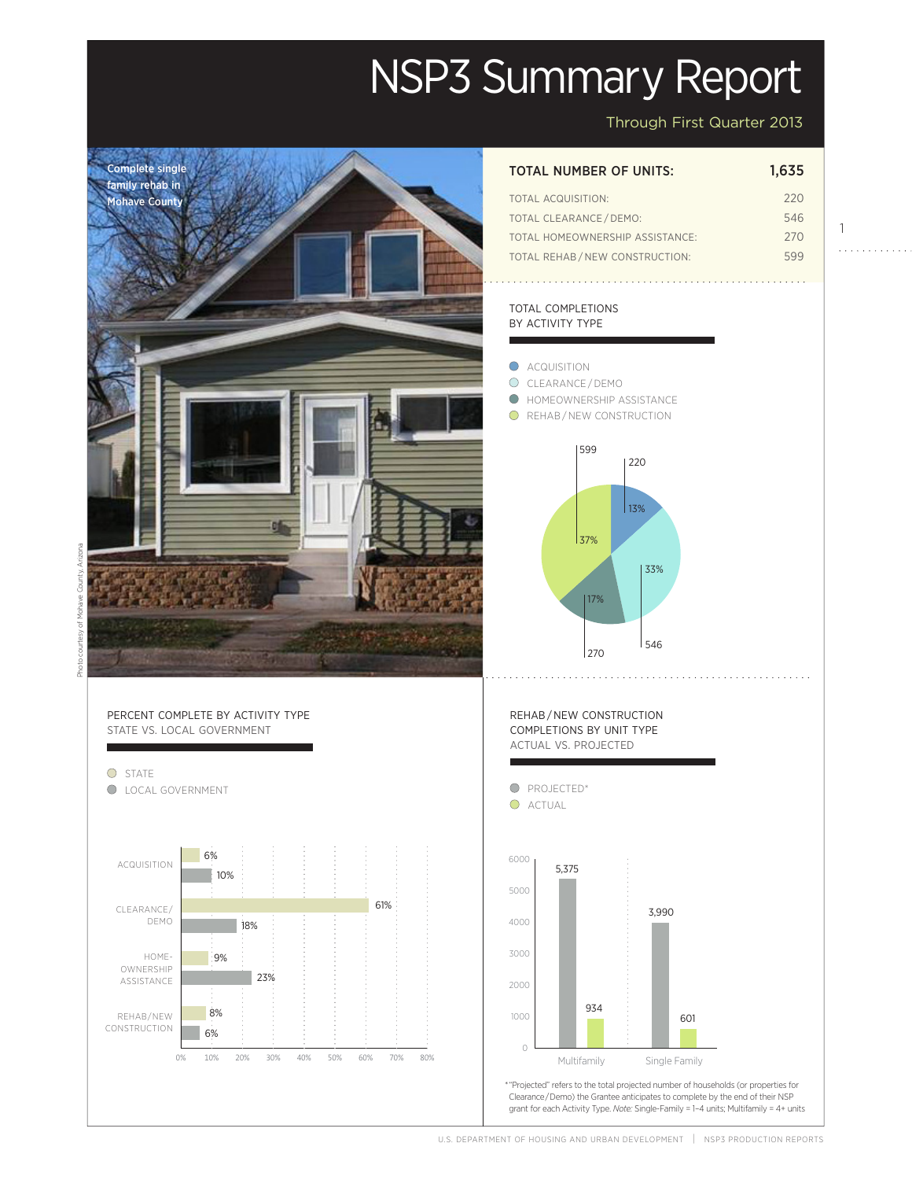# NSP3 Summary Report

Through First Quarter 2013

#### Complete single TOTAL NUMBER OF UNITS: 1,635 family rehab in total acquisition: 220 Mohave County total clearance / demo: 546 1 total homeownership assistance: 270 . . . . . . . . . . . . Total Rehab / new construction: 599 total completions BY ACTIVITY TYPE **ACQUISITION** O CLEARANCE/DEMO Homeownership Assistance  $\bigcirc$ **O** REHAB/NEW CONSTRUCTION 599 220  $\vert$  13% 37% 33% 17% 546 270 <code>REHAB</code>/<code>NEW CONSTRUCTION</code> completions by unit type actual vs. projected State vs Local Activity types and the state vertices of the state vertices of the state vertices of the state v  $\mathcal{F} = \mathcal{F} \cup \mathcal{F}$ **O** PROJECTED\* O ACTUAL Rehab/New Construction 6000 Actual Actual Actual Actual Actual Actual Actual Actual Actual Actual Actual Actual Actual Actual Actual 6% is it is it is it is in the second to the second term in the second second term in the second term in the s  $\begin{array}{c|c}\n 6000 & 5375 \\
\end{array}$ UISITION  $\begin{bmatrix} 1 & 0 & 0 \\ 0 & 1 & 0 \\ 0 & 0 & 0 \end{bmatrix}$   $\begin{bmatrix} 1 & 0 & 0 \\ 0 & 1 & 0 \\ 0 & 0 & 0 \end{bmatrix}$   $\begin{bmatrix} 1 & 0 & 0 \\ 0 & 1 & 0 \\ 0 & 0 & 0 \end{bmatrix}$   $\begin{bmatrix} 5,375 & 0 & 0 \\ 0 & 0 & 0 \\ 0 & 0 & 0 \end{bmatrix}$ 10% 9% 5000 Projected 61% 3,990 demo 4000 18%  $\overline{1}$ 8% 3000 Home-9% 6% 23% 2000 0% 10% 20% 30% 40% 50% 60% 70% 80% 23% 934 934 8% 1000 601 6%  $\theta$ Multifamily Single Family Multifamily Single Family Actual

projected and the set of the set of the set of the set of the set of the set of the set of the set of the set o<br>Projected and the set of the set of the set of the set of the set of the set of the set of the set of the set \* "Projected" refers to the total projected number of households (or properties for Clearance / Demo) the Grantee anticipates to complete by the end of their NSP grant for each Activity Type. *Note:* Single-Family = 1–4 units; Multifamily = 4+ units

## Percent complete by activity type STATE VS. LOCAL GOVERNMENT

0% 10% 20% 30% 40% 50% 60% 70% 80% O STATE l LOCAL GOVERNMENT Acquisition clearance/ **OWNERSHIP** Assistance Rehab/New CONSTRUCTION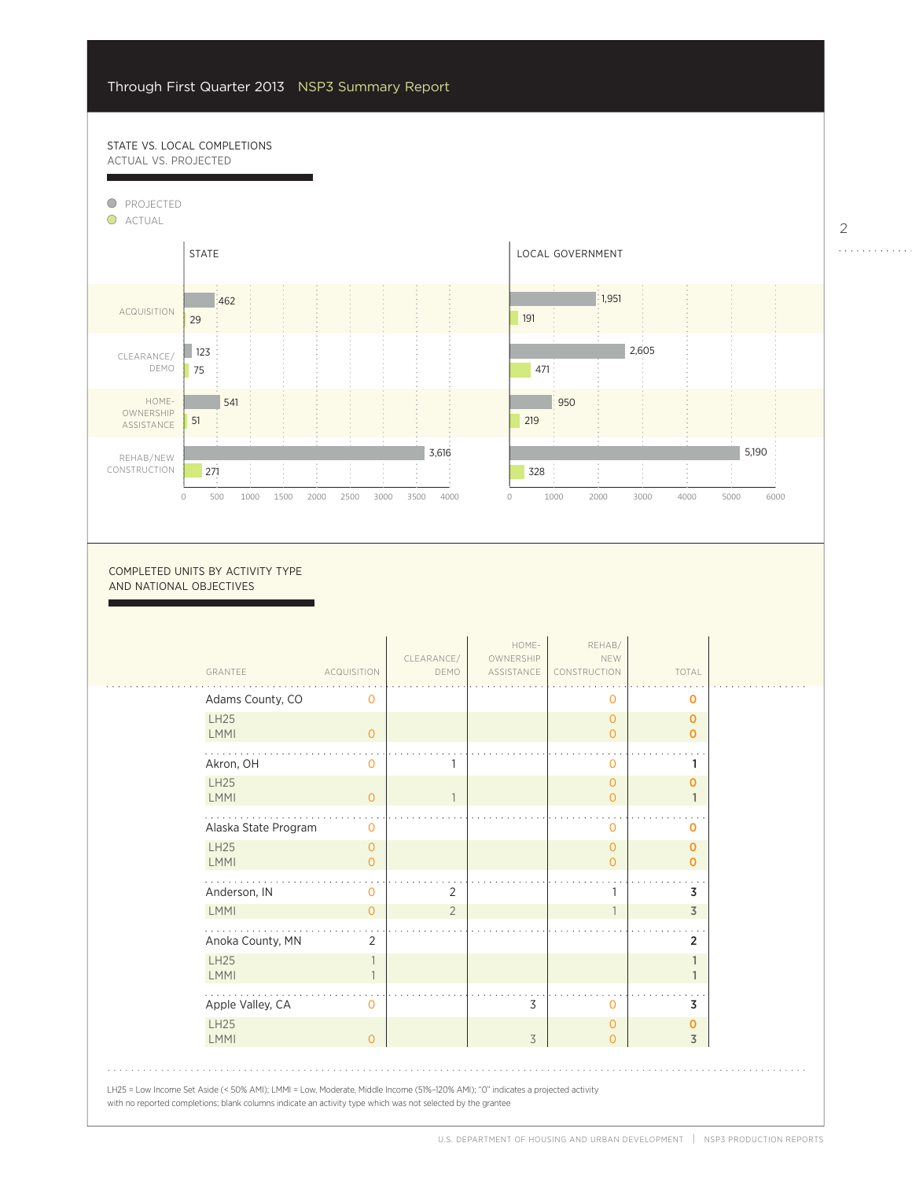## STATE VS. LOCAL COMPLETIONS actual vs. projected

9%

6%



0

COMPLETED UNITS BY ACTIVITY TYPE and national objectives

| GRANTEE                    | <b>ACQUISITION</b>  | CLEARANCE/<br>DEMO | HOME-<br>OWNERSHIP<br>ASSISTANCE | REHAB/<br>NEW<br>CONSTRUCTION    | TOTAL                      |
|----------------------------|---------------------|--------------------|----------------------------------|----------------------------------|----------------------------|
| Adams County, CO           | O                   |                    |                                  | 0                                | 0                          |
| <b>LH25</b><br><b>LMMI</b> | $\overline{O}$      |                    |                                  | $\overline{0}$<br>$\overline{0}$ | $\mathbf 0$<br>$\mathbf 0$ |
| Akron, OH                  | O                   |                    |                                  | 0                                | 1                          |
| <b>LH25</b><br><b>LMMI</b> | $\circ$             |                    |                                  | $\overline{0}$<br>$\overline{0}$ | $\mathbf 0$                |
| Alaska State Program       | $\circ$             |                    |                                  | $\mathbf{0}$                     | O                          |
| <b>LH25</b><br><b>LMMI</b> | $\circ$<br>$\Omega$ |                    |                                  | $\overline{0}$<br>$\overline{0}$ | O<br>$\mathbf 0$           |
| Anderson, IN               | 0                   | 2                  |                                  |                                  | 3                          |
| LMMI                       | $\Omega$            | $\overline{2}$     |                                  | $\mathbf{1}$                     | $\overline{3}$             |
| Anoka County, MN           | 2                   |                    |                                  |                                  | 2                          |
| <b>LH25</b><br><b>LMMI</b> |                     |                    |                                  |                                  |                            |
| Apple Valley, CA           | $\Omega$            |                    | 3                                | $\Omega$                         | 3                          |
| <b>LH25</b><br>LMMI        | $\Omega$            |                    | 3                                | $\circ$<br>$\overline{0}$        | $\mathbf 0$<br>3           |

2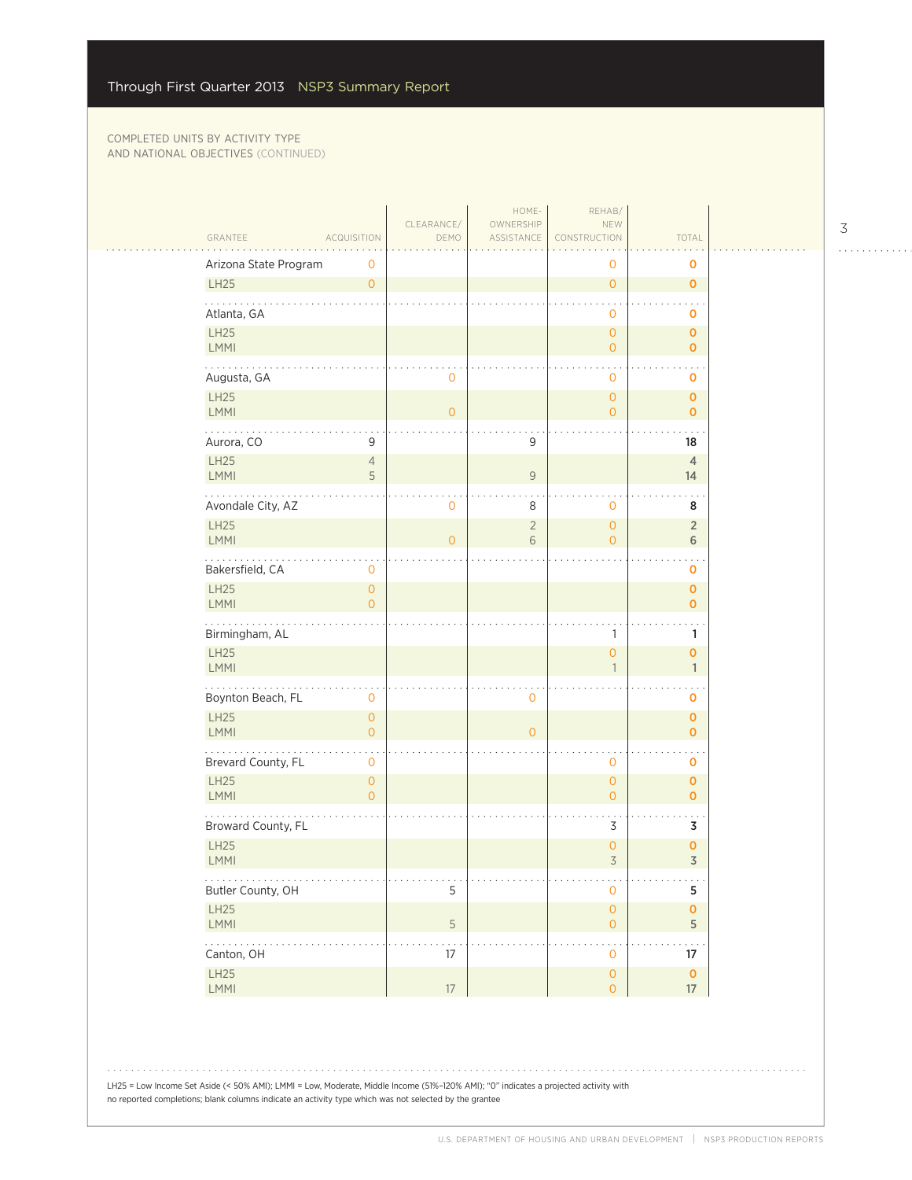|                            |                                       | CLEARANCE/     | HOME-<br>OWNERSHIP  | REHAB/<br>NEW                              |                                 |  |
|----------------------------|---------------------------------------|----------------|---------------------|--------------------------------------------|---------------------------------|--|
| GRANTEE                    | <b>ACQUISITION</b>                    | DEMO           | ASSISTANCE          | CONSTRUCTION                               | TOTAL                           |  |
| Arizona State Program      | 0                                     |                |                     | 0                                          | 0                               |  |
| LH25                       | $\circ$                               |                |                     | $\mathsf{O}\xspace$                        | $\mathbf 0$                     |  |
| Atlanta, GA                |                                       |                |                     | $\mathbf 0$                                | o                               |  |
| LH25<br><b>LMMI</b>        |                                       |                |                     | $\mathsf{O}\xspace$<br>$\overline{O}$      | $\mathbf{O}$<br>0               |  |
| Augusta, GA                |                                       | 0              |                     | $\mathbf 0$                                | $\mathbf 0$                     |  |
| LH25<br><b>LMMI</b>        |                                       | $\overline{0}$ |                     | $\mathsf{O}\xspace$<br>$\mathbf{O}$        | $\mathbf 0$<br>$\mathbf{O}$     |  |
| .<br>Aurora, CO            | 9                                     |                | 9                   |                                            | $\sim$<br>18                    |  |
| LH25                       | $\overline{4}$                        |                |                     |                                            | $\overline{4}$                  |  |
| <b>LMMI</b>                | 5                                     |                | $\mathcal G$        |                                            | 14                              |  |
| Avondale City, AZ          |                                       | 0              | 8                   | $\mathbf 0$                                | 8                               |  |
| LH25<br>LMMI               |                                       | $\overline{0}$ | $\overline{2}$<br>6 | $\mathsf{O}\xspace$<br>$\circ$             | $\overline{2}$<br>6             |  |
| .<br>Bakersfield, CA       | 0                                     |                |                     |                                            | 0                               |  |
| <b>LH25</b><br><b>LMMI</b> | $\overline{0}$<br>$\overline{O}$      |                |                     |                                            | $\mathbf 0$<br>$\mathbf{o}$     |  |
| Birmingham, AL             |                                       |                |                     | 1                                          | 1                               |  |
| LH25<br><b>LMMI</b>        |                                       |                |                     | $\overline{0}$<br>$\mathbf{1}$             | 0<br>$\mathbf{1}$               |  |
| Boynton Beach, FL          | 0                                     |                | $\mathbf 0$         |                                            | 0                               |  |
| LH25<br>LMMI               | $\mathsf{O}\xspace$<br>$\overline{0}$ |                | $\overline{0}$      |                                            | $\mathbf 0$<br>0                |  |
| Brevard County, FL         | 0                                     |                |                     | $\mathbf 0$                                | $\mathbf 0$                     |  |
| LH25<br><b>LMMI</b>        | $\overline{0}$<br>$\overline{0}$      |                |                     | $\mathsf{O}\xspace$<br>$\circ$             | $\mathbf 0$<br>$\mathbf{o}$     |  |
| Broward County, FL         |                                       |                |                     | 3                                          | 3                               |  |
| LH25<br>LMMI               |                                       |                |                     | $\mathsf{O}\xspace$<br>$\overline{3}$      | 0<br>$\overline{3}$             |  |
| .<br>Butler County, OH     |                                       | 5              |                     | $\mathsf{O}\xspace$                        | $\sim$ $\sim$<br>5              |  |
| LH25<br>LMMI               |                                       | 5              |                     | $\mathsf{O}\xspace$<br>$\mathsf{O}\xspace$ | $\pmb{\mathsf{O}}$<br>5         |  |
| i i vojno<br>Canton, OH    |                                       | 17             |                     | $\mathsf{O}\xspace$                        | 17                              |  |
| LH25<br>LMMI               |                                       | $17\,$         |                     | $\mathsf{O}\xspace$<br>$\mathsf{O}$        | $\mathbf 0$<br>$17\phantom{.0}$ |  |

LH25 = Low Income Set Aside (< 50% AMI); LMMI = Low, Moderate, Middle Income (51%–120% AMI); "0" indicates a projected activity with no reported completions; blank columns indicate an activity type which was not selected by the grantee

3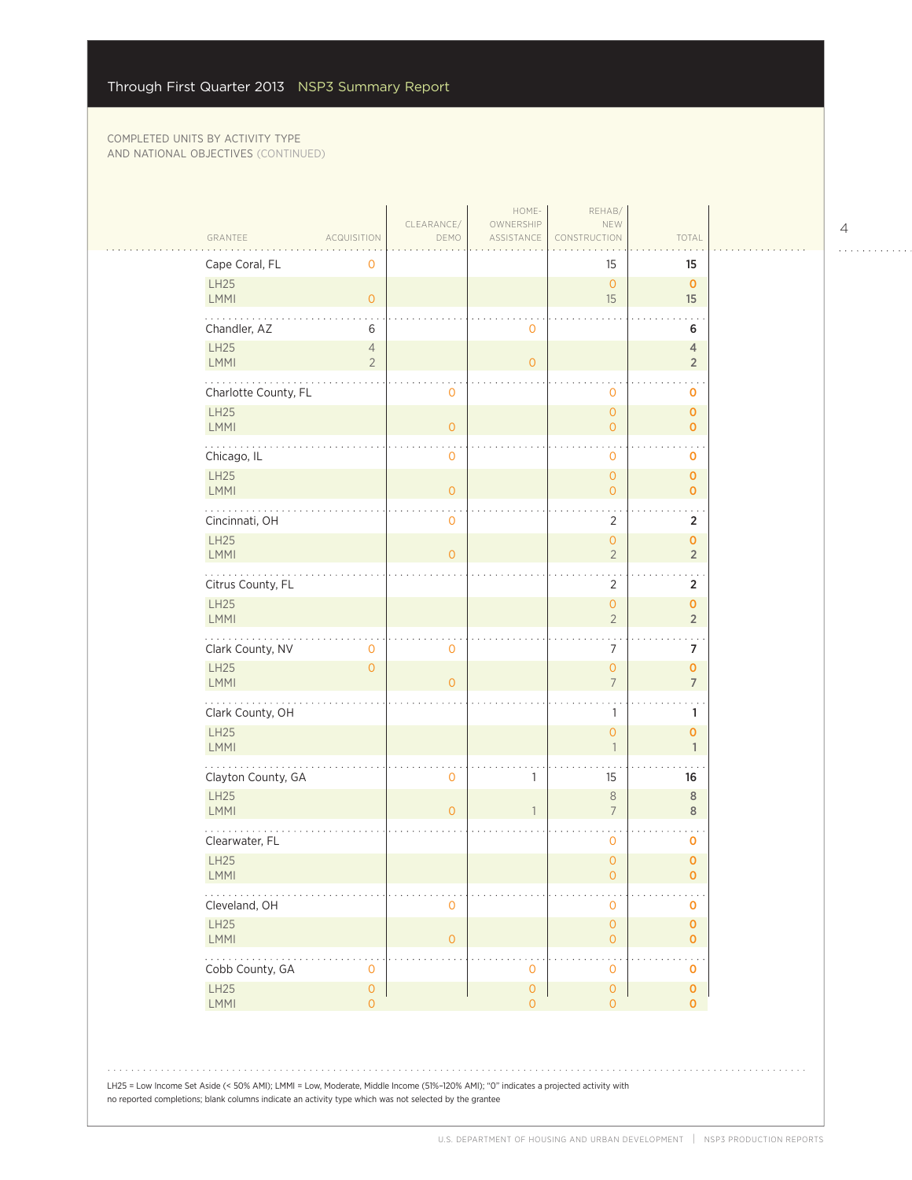| GRANTEE<br>Cape Coral, FL                                             | <b>ACQUISITION</b><br>0          | DEMO                | ASSISTANCE          | CONSTRUCTION<br>15                  | TOTAL<br>15                                |
|-----------------------------------------------------------------------|----------------------------------|---------------------|---------------------|-------------------------------------|--------------------------------------------|
| LH25<br>LMMI                                                          | $\overline{O}$                   |                     |                     | $\mathbf{O}$<br>15                  | $\mathbf{O}$<br>15                         |
| Chandler, AZ                                                          | 6                                |                     | 0                   |                                     | 6                                          |
| LH25<br><b>LMMI</b>                                                   | $\overline{4}$<br>$\overline{2}$ |                     | $\overline{O}$      |                                     | $\overline{4}$<br>$\sqrt{2}$               |
| .<br>Charlotte County, FL                                             |                                  | 0                   |                     | 0                                   | o                                          |
| LH25<br><b>LMMI</b>                                                   |                                  | $\mathbf{O}$        |                     | $\overline{0}$<br>$\overline{O}$    | $\mathbf 0$<br>$\mathbf 0$                 |
| Chicago, IL                                                           |                                  | $\mathbf 0$         |                     | 0                                   | 0                                          |
| <b>LH25</b><br><b>LMMI</b>                                            |                                  | $\mathbf{0}$        |                     | $\overline{O}$<br>$\overline{O}$    | $\mathbf 0$<br>$\mathbf 0$                 |
| Cincinnati, OH<br><b>LH25</b>                                         |                                  | $\overline{0}$      |                     | $\overline{2}$<br>$\overline{0}$    | $\overline{2}$<br>$\mathbf 0$              |
| <b>LMMI</b>                                                           |                                  | $\overline{0}$      |                     | $\overline{2}$                      | $\sqrt{2}$                                 |
| $\sim$ $\sim$ $\sim$ $\sim$<br>Citrus County, FL<br>LH25              |                                  |                     |                     | $\overline{2}$<br>$\overline{0}$    | $\ddotsc$<br>$\overline{2}$<br>$\mathbf 0$ |
| LMMI                                                                  |                                  |                     |                     | $\overline{2}$                      | $\overline{2}$<br>$\sim$ $\sim$            |
| Clark County, NV<br>LH25                                              | $\mathbf{O}$<br>$\overline{O}$   | $\mathsf{O}\xspace$ |                     | $\overline{7}$<br>$\mathbf{O}$      | $\overline{7}$<br>$\pmb{\mathsf{O}}$       |
| <b>LMMI</b><br>.                                                      |                                  | $\overline{0}$      |                     | $\overline{7}$                      | $\overline{7}$                             |
| Clark County, OH<br>LH25<br>LMMI                                      |                                  |                     |                     | 1<br>$\overline{O}$<br>$\mathbf{1}$ | 1<br>$\mathbf 0$<br>$\mathbf{1}$           |
| Clayton County, GA                                                    |                                  | $\mathbf 0$         | 1                   | 15                                  | 16                                         |
| <b>LH25</b><br><b>LMMI</b>                                            |                                  | $\overline{O}$      | $\mathbf{1}$        | $\,8\,$<br>$7\overline{ }$          | $\,$ 8 $\,$<br>$\,$ 8 $\,$                 |
| Clearwater, FL                                                        |                                  |                     |                     | 0                                   | 0                                          |
| <b>LH25</b><br><b>LMMI</b>                                            |                                  |                     |                     | $\overline{0}$<br>0                 | $\mathbf 0$<br>0                           |
| Cleveland, OH                                                         |                                  | 0                   |                     | 0                                   | 0                                          |
| LH25<br>LMMI                                                          |                                  | $\overline{0}$      |                     | $\overline{O}$<br>$\mathbf 0$       | $\mathbf 0$<br>$\mathbf 0$                 |
| $\mathbb{Z}^2$ , $\mathbb{Z}^2$ , $\mathbb{Z}^2$ ,<br>Cobb County, GA | 0                                |                     | 0                   | 0                                   | $\ddotsc$<br>o                             |
| LH25<br>LMMI                                                          | $\circ$<br>$\overline{O}$        |                     | 0<br>$\overline{0}$ | $\mathbf 0$<br>$\overline{0}$       | $\mathbf 0$<br>$\mathbf{o}$                |

4

 $\begin{array}{cccccccccccccc} . & . & . & . & . & . & . & . & . & . & . & . & . \end{array}$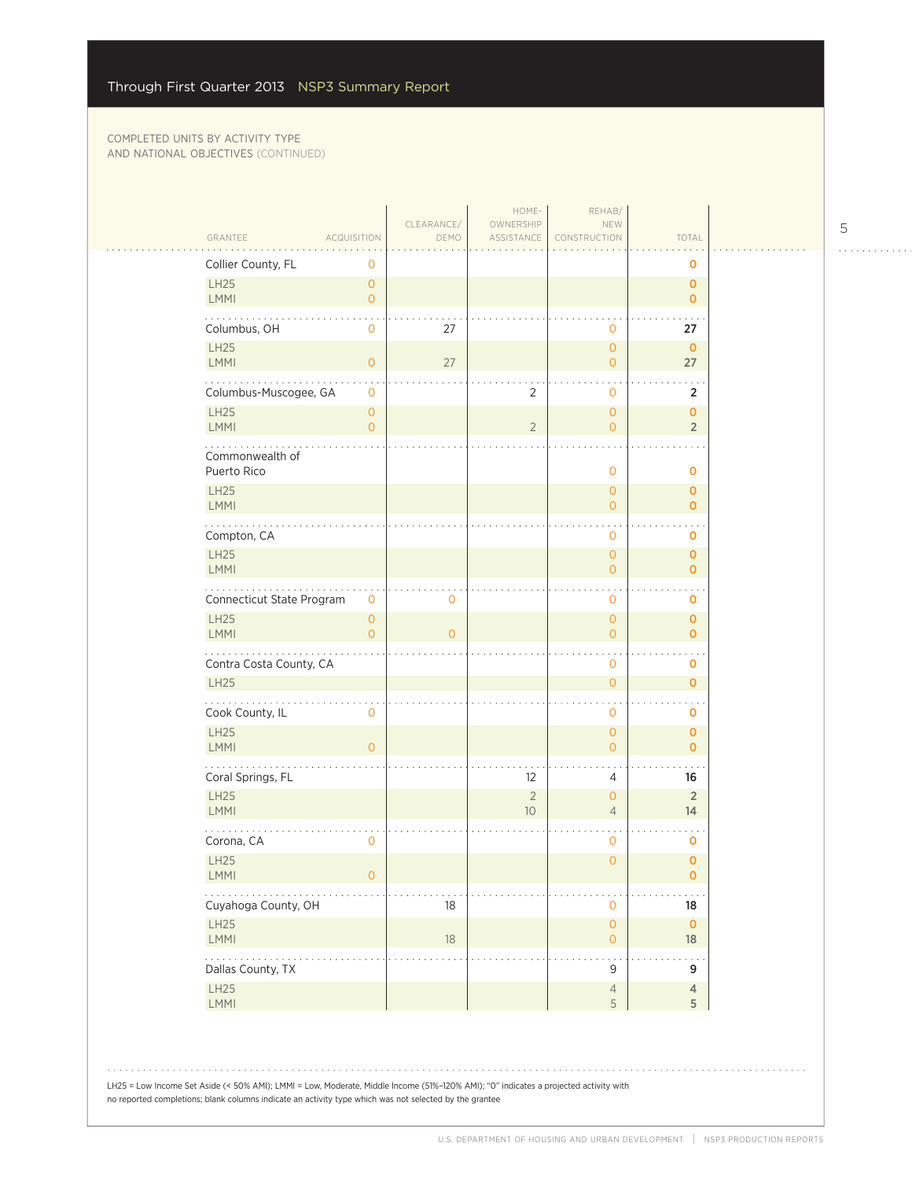$\mathcal{L}_{\mathcal{A}}$ 

| GRANTEE                                                         | <b>ACQUISITION</b>                    | CLEARANCE/<br>DEMO | HOME-<br>OWNERSHIP<br>ASSISTANCE | REHAB/<br>NEW<br>CONSTRUCTION              | TOTAL                         |
|-----------------------------------------------------------------|---------------------------------------|--------------------|----------------------------------|--------------------------------------------|-------------------------------|
| Collier County, FL                                              | 0                                     |                    |                                  |                                            | O                             |
| LH25<br><b>LMMI</b>                                             | $\circ$<br>$\circ$                    |                    |                                  |                                            | $\mathbf{o}$<br>$\mathbf{O}$  |
| Columbus, OH                                                    | $\mathbf 0$                           | 27                 |                                  | $\mathbf 0$                                | 27                            |
| <b>LH25</b><br><b>LMMI</b>                                      | $\circ$                               | 27                 |                                  | $\overline{O}$<br>$\overline{O}$           | $\mathbf 0$<br>27             |
| Columbus-Muscogee, GA                                           | $\mathbf{0}$                          |                    | $\sqrt{2}$                       | 0                                          | $\overline{2}$                |
| <b>LH25</b><br><b>LMMI</b>                                      | $\circ$<br>$\overline{O}$             |                    | $\overline{2}$                   | $\overline{O}$<br>$\mathbf{O}$             | $\mathbf 0$<br>$\overline{2}$ |
| Commonwealth of<br>Puerto Rico                                  |                                       |                    |                                  | $\mathbf 0$                                | 0                             |
| <b>LH25</b><br><b>LMMI</b>                                      |                                       |                    |                                  | $\mathbf{O}$<br>$\overline{O}$             | $\mathbf 0$<br>$\mathbf{O}$   |
| Compton, CA                                                     |                                       |                    |                                  | 0                                          | 0                             |
| LH25<br><b>LMMI</b>                                             |                                       |                    |                                  | $\overline{O}$<br>$\mathbf{O}$             | $\mathbf{o}$<br>$\mathbf{O}$  |
| Connecticut State Program                                       | 0                                     | 0                  |                                  | 0                                          | 0                             |
| LH25<br><b>LMMI</b>                                             | $\mathsf{O}\xspace$<br>$\overline{O}$ | $\overline{O}$     |                                  | $\overline{O}$<br>$\circ$                  | $\mathbf{o}$<br>$\mathbf{O}$  |
| Contra Costa County, CA                                         |                                       |                    |                                  | $\mathbf 0$                                | $\mathbf 0$                   |
| <b>LH25</b>                                                     |                                       |                    |                                  | $\mathsf{O}\xspace$                        | $\mathbf{O}$                  |
| Cook County, IL                                                 | $\mathbf 0$                           |                    |                                  | $\mathbf 0$                                | o                             |
| <b>LH25</b><br><b>LMMI</b>                                      | $\overline{0}$                        |                    |                                  | $\overline{O}$<br>$\overline{O}$           | $\mathbf 0$<br>$\mathbf{O}$   |
| Coral Springs, FL                                               |                                       |                    | 12                               | 4                                          | 16                            |
| <b>LH25</b><br>LMMI                                             |                                       |                    | $\sqrt{2}$<br>$10$               | $\overline{0}$<br>$\overline{4}$           | $\overline{2}$<br>14          |
| Corona, CA                                                      | $\mathbf 0$                           |                    |                                  | $\mathbf 0$                                | 0                             |
| LH25<br>LMMI                                                    | $\mathsf{O}\xspace$                   |                    |                                  | $\overline{0}$                             | $\mathbf 0$<br>$\pmb{0}$      |
| $\cdots$<br>Cuyahoga County, OH                                 |                                       | $18\,$             |                                  | $\mathbf 0$                                | 18                            |
| LH25<br><b>LMMI</b>                                             |                                       | $18\,$             |                                  | $\mathsf{O}\xspace$<br>$\mathsf{O}\xspace$ | $\mathbf 0$<br>18             |
| $\mathbb{Z}^2$ . The set of $\mathbb{Z}^2$<br>Dallas County, TX |                                       |                    |                                  | $\ddot{\phantom{1}}$<br>9                  | 9                             |
| LH25<br>LMMI                                                    |                                       |                    |                                  | $\overline{4}$<br>5                        | $\overline{4}$<br>5           |

LH25 = Low Income Set Aside (< 50% AMI); LMMI = Low, Moderate, Middle Income (51%–120% AMI); "0" indicates a projected activity with no reported completions; blank columns indicate an activity type which was not selected by the grantee

5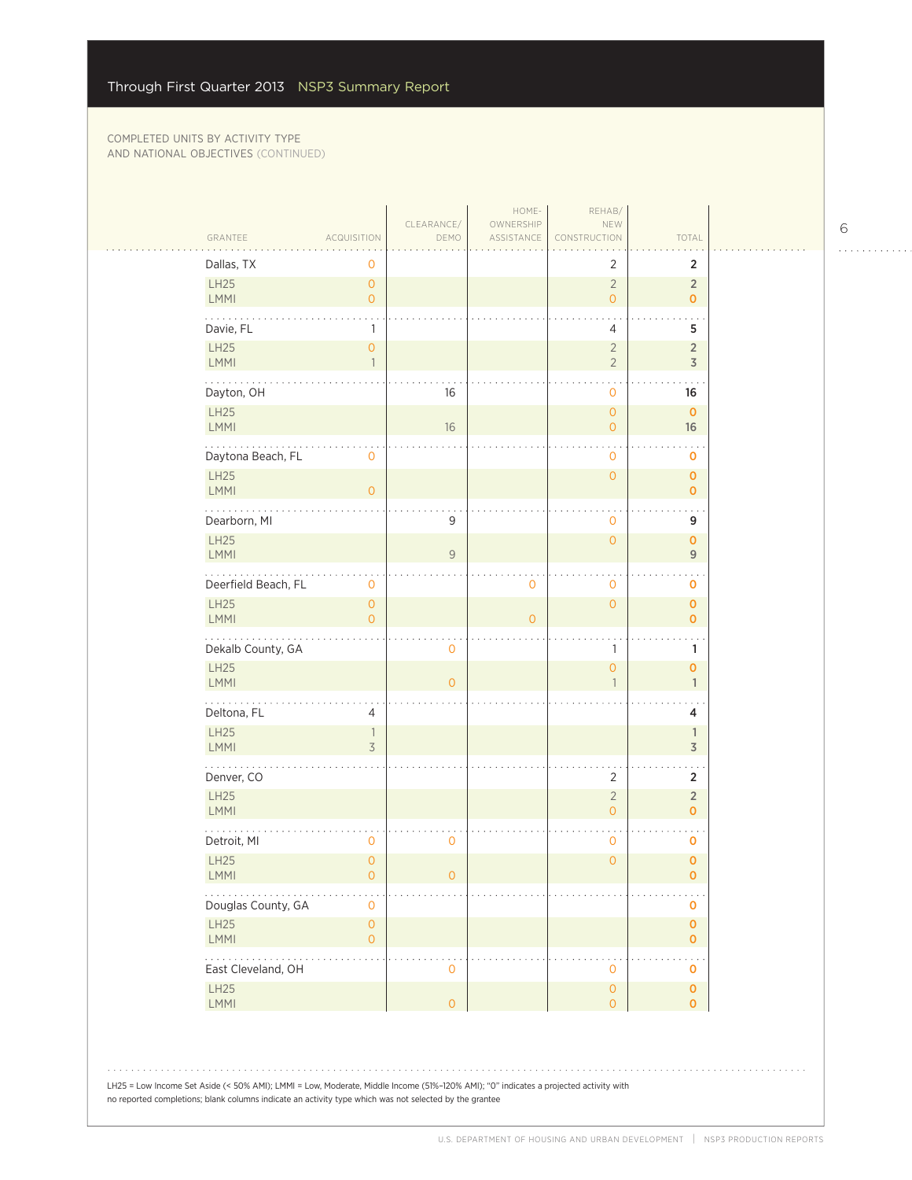|                                                                          |                                                 | CLEARANCE/          | HOME-<br>OWNERSHIP | REHAB/<br>NEW                    |                                  |
|--------------------------------------------------------------------------|-------------------------------------------------|---------------------|--------------------|----------------------------------|----------------------------------|
| GRANTEE                                                                  | <b>ACQUISITION</b>                              | DEMO                | ASSISTANCE         | CONSTRUCTION                     | TOTAL                            |
| Dallas, TX                                                               | 0                                               |                     |                    | 2                                | 2                                |
| LH25<br>LMMI                                                             | $\circ$<br>$\overline{O}$                       |                     |                    | $\overline{2}$<br>$\overline{O}$ | $\overline{2}$<br>$\mathbf{0}$   |
| Davie, FL                                                                | $\mathbf{1}$                                    |                     |                    | 4                                | 5                                |
| LH25<br>LMMI                                                             | $\mathsf{O}\xspace$<br>$\overline{\phantom{a}}$ |                     |                    | $\overline{2}$<br>$\overline{2}$ | $\overline{2}$<br>$\overline{3}$ |
| Dayton, OH                                                               |                                                 | 16                  |                    | 0                                | 16                               |
| LH25                                                                     |                                                 |                     |                    | $\overline{0}$                   | $\mathbf 0$                      |
| LMMI                                                                     |                                                 | 16                  |                    | 0                                | 16                               |
| Daytona Beach, FL                                                        | 0                                               |                     |                    | $\mathbf 0$                      | $\mathbf 0$                      |
| LH25<br>LMMI                                                             | $\overline{O}$                                  |                     |                    | $\overline{O}$                   | $\mathbf{O}$<br>$\mathbf{0}$     |
| Dearborn, MI                                                             |                                                 | 9                   |                    | 0                                | 9                                |
| LH25<br>LMMI                                                             |                                                 | $\mathcal{G}$       |                    | $\overline{0}$                   | $\mathbf{O}$<br>$\overline{9}$   |
| Deerfield Beach, FL                                                      | 0                                               |                     | 0                  | 0                                | o                                |
| LH25                                                                     | $\overline{O}$                                  |                     |                    | $\overline{O}$                   | $\mathbf{O}$                     |
| <b>LMMI</b>                                                              | $\overline{O}$                                  |                     | $\Omega$           |                                  | $\mathbf{0}$                     |
| Dekalb County, GA                                                        |                                                 | 0                   |                    | 1                                | 1                                |
| LH25<br>LMMI                                                             |                                                 | $\overline{O}$      |                    | $\overline{0}$<br>$\mathbf{1}$   | $\mathbf 0$<br>$\mathbf{1}$      |
| .<br>Deltona, FL                                                         | 4                                               |                     |                    |                                  | 4                                |
| LH25<br><b>LMMI</b>                                                      | $\mathbb{1}$<br>3                               |                     |                    |                                  | $\mathbb{1}$<br>$\overline{3}$   |
| Denver, CO                                                               |                                                 |                     |                    | $\overline{2}$                   | $\overline{2}$                   |
| LH25                                                                     |                                                 |                     |                    | $\overline{2}$                   | $\overline{2}$                   |
| LMMI                                                                     |                                                 |                     |                    | 0                                | $\mathbf{0}$                     |
| Detroit, MI                                                              | $\mathbf 0$                                     | 0                   |                    | $\mathbf 0$                      | 0                                |
| LH25<br>LMMI                                                             | $\overline{0}$<br>$\mathsf{O}\xspace$           | $\mathsf{O}\xspace$ |                    | $\overline{0}$                   | $\mathbf{O}$<br>0                |
| $\alpha$ , $\alpha$ , $\alpha$<br>Douglas County, GA                     | $\mathbf 0$                                     |                     |                    |                                  | $\mathbf 0$                      |
| LH25<br>LMMI                                                             | $\mathsf{O}\xspace$<br>$\mathsf{O}\xspace$      |                     |                    |                                  | $\pmb{0}$<br>$\mathbf 0$         |
| $\mathbb{Z}^2$ , $\mathbb{Z}^2$ , $\mathbb{Z}^2$ ,<br>East Cleveland, OH |                                                 | $\mathsf{O}\xspace$ |                    | 0                                | $\cdot$ .<br>0                   |
| LH25                                                                     |                                                 |                     |                    | 0                                | $\mathbf 0$                      |
| LMMI                                                                     |                                                 | $\overline{0}$      |                    | 0                                | $\mathbf 0$                      |

6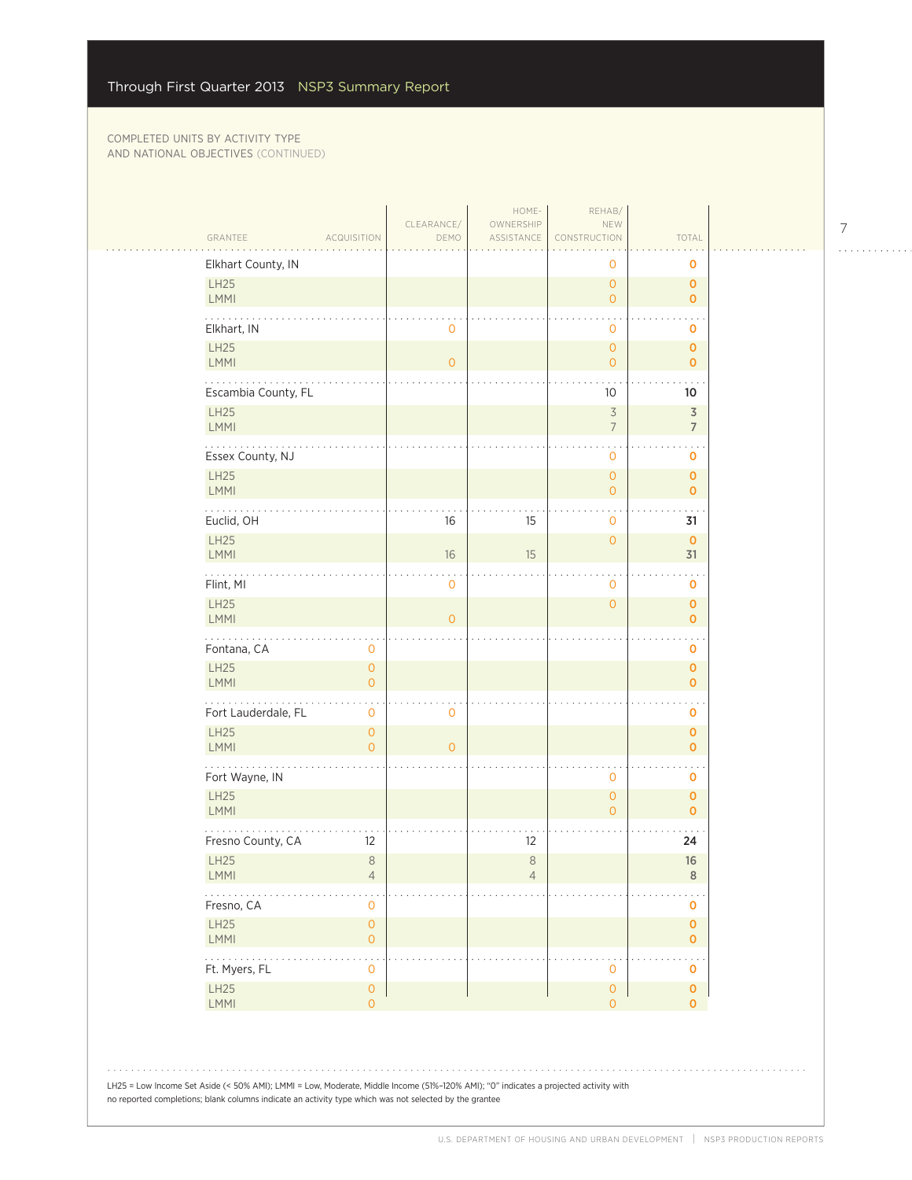| GRANTEE                    | <b>ACQUISITION</b>                    | CLEARANCE/<br>DEMO | HOME-<br>OWNERSHIP<br>ASSISTANCE | REHAB/<br>NEW<br>CONSTRUCTION         | TOTAL                        |
|----------------------------|---------------------------------------|--------------------|----------------------------------|---------------------------------------|------------------------------|
| Elkhart County, IN         |                                       |                    |                                  | 0                                     | o                            |
| LH25<br>LMMI               |                                       |                    |                                  | $\overline{0}$<br>$\overline{O}$      | $\mathbf 0$<br>$\mathbf 0$   |
| Elkhart, IN                |                                       | $\mathbf 0$        |                                  | 0                                     | 0                            |
| LH25<br><b>LMMI</b>        |                                       | $\overline{O}$     |                                  | $\overline{O}$<br>$\overline{0}$      | $\pmb{0}$<br>$\mathbf{O}$    |
| Escambia County, FL        |                                       |                    |                                  | 10                                    | 10                           |
| LH25<br>LMMI               |                                       |                    |                                  | $\overline{3}$<br>$\overline{7}$      | $\overline{\mathsf{3}}$<br>7 |
| Essex County, NJ           |                                       |                    |                                  | 0                                     | o                            |
| <b>LH25</b><br>LMMI        |                                       |                    |                                  | $\overline{O}$<br>$\overline{0}$      | $\mathbf 0$<br>$\mathbf 0$   |
| Euclid, OH                 |                                       | 16                 | 15                               | 0                                     | 31                           |
| LH25<br>LMMI               |                                       | 16                 | 15                               | $\mathbf{O}$                          | $\pmb{0}$<br>31              |
| المتمامية<br>Flint, MI     |                                       | $\mathbf 0$        |                                  | 0                                     | $\ddotsc$<br>o               |
| <b>LH25</b><br>LMMI        |                                       | $\overline{0}$     |                                  | $\overline{0}$                        | $\mathbf 0$<br>$\mathbf{O}$  |
| Fontana, CA                | 0                                     |                    |                                  |                                       | 0                            |
| <b>LH25</b><br>LMMI        | $\overline{O}$<br>$\overline{O}$      |                    |                                  |                                       | $\mathbf 0$<br>$\mathbf 0$   |
| .<br>Fort Lauderdale, FL   | 0                                     | $\mathbf 0$        |                                  |                                       | O                            |
| LH25<br>LMMI               | $\overline{0}$<br>$\overline{O}$      | $\Omega$           |                                  |                                       | $\mathbf 0$<br>$\mathbf 0$   |
| Fort Wayne, IN             |                                       |                    |                                  | $\overline{O}$                        | o                            |
| <b>LH25</b><br>LMMI        |                                       |                    |                                  | $\overline{O}$<br>$\Omega$            | $\mathbf 0$<br>$\mathbf 0$   |
| Fresno County, CA          | 12                                    |                    | 12                               |                                       | 24                           |
| <b>LH25</b><br><b>LMMI</b> | $\,8\,$<br>$\overline{4}$             |                    | $\,8\,$<br>$\sqrt{4}$            |                                       | 16<br>$\,$ 8                 |
| .<br>Fresno, CA            | 0                                     |                    |                                  |                                       | $\mathbf 0$                  |
| LH25<br>LMMI               | $\mathsf{O}\xspace$<br>$\overline{O}$ |                    |                                  |                                       | $\pmb{0}$<br>$\mathbf{O}$    |
| .<br>Ft. Myers, FL         | 0                                     |                    |                                  | 0                                     | $\ddotsc$<br>o               |
| LH25<br>LMMI               | $\mathsf{O}\xspace$<br>$\overline{O}$ |                    |                                  | $\mathsf{O}\xspace$<br>$\overline{0}$ | $\pmb{0}$<br>$\mathbf{O}$    |
|                            |                                       |                    |                                  |                                       |                              |

no reported completions; blank columns indicate an activity type which was not selected by the grantee

7

. . . . . . . . . . . .

. . . . . . . . . . . . .

 $\alpha$  is a second contract of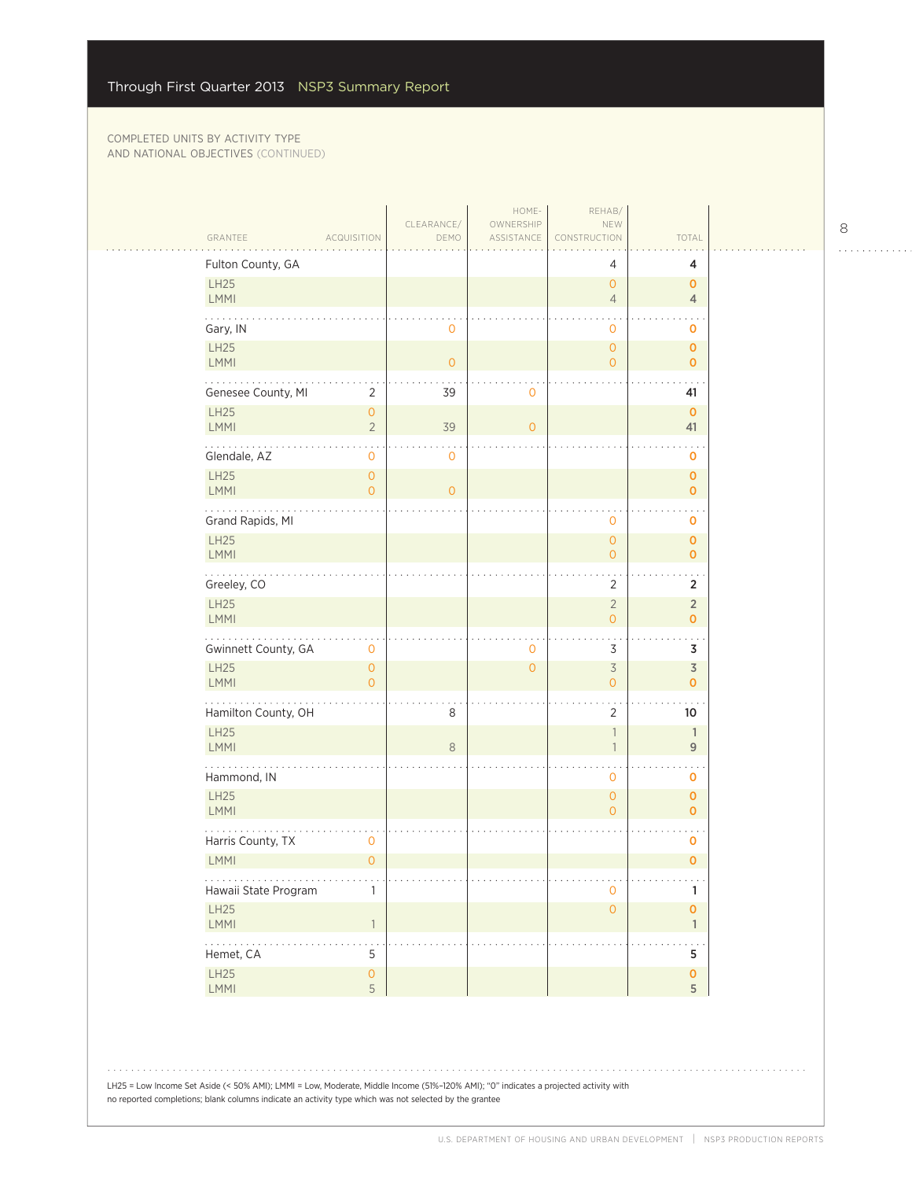| Fulton County, GA<br>4<br>4<br>LH25<br>$\overline{O}$<br>$\mathbf 0$<br>LMMI<br>$\overline{4}$<br>$\overline{4}$<br>Gary, IN<br>$\mathbf 0$<br>$\mathbf 0$<br>0<br>LH25<br>$\mathsf{O}\xspace$<br>$\mathbf 0$<br><b>LMMI</b><br>$\overline{O}$<br>$\overline{O}$<br>$\mathbf{O}$<br>Genesee County, MI<br>$\overline{2}$<br>39<br>$\mathbf 0$<br>41<br><b>LH25</b><br>$\mathsf{O}\xspace$<br>$\mathbf{O}$<br><b>LMMI</b><br>$\sqrt{2}$<br>39<br>$\overline{0}$<br>41<br>Glendale, AZ<br>0<br>$\mathbf 0$<br>$\mathbf 0$<br>LH25<br>$\overline{0}$<br>$\mathbf 0$<br><b>LMMI</b><br>$\overline{0}$<br>$\circ$<br>$\mathbf 0$<br>Grand Rapids, MI<br>$\mathbf 0$<br>0<br>LH25<br>$\mathsf{O}\xspace$<br>$\pmb{0}$<br>LMMI<br>$\overline{O}$<br>$\mathbf{O}$<br>$\mathbf{1}$ , $\mathbf{1}$ , $\mathbf{1}$ , $\mathbf{1}$ , $\mathbf{1}$<br>$\ddot{\phantom{0}}$<br>Greeley, CO<br>$\overline{2}$<br>$\overline{2}$<br>LH25<br>$\overline{2}$<br>$\overline{2}$<br>LMMI<br>$\mathbf{o}$<br>$\overline{O}$<br>Gwinnett County, GA<br>$\overline{3}$<br>0<br>3<br>0<br>LH25<br>$\overline{\mathcal{S}}$<br>3<br>$\overline{0}$<br>$\overline{0}$<br><b>LMMI</b><br>$\overline{O}$<br>$\mathsf{O}\xspace$<br>$\mathbf 0$<br>Hamilton County, OH<br>8<br>2<br>10<br>LH25<br>$\mathbb{1}$<br>$\mathbb{1}$<br><b>LMMI</b><br>8<br>$9$<br>$\overline{1}$<br>Hammond, IN<br>$\mathbf 0$<br>$\mathbf 0$<br><b>LH25</b><br>$\mathbf{O}$<br>$\mathbf 0$<br><b>LMMI</b><br>0<br>$\mathbf 0$<br>Harris County, TX<br>0<br>0<br>LMMI<br>$\overline{O}$<br>$\pmb{0}$<br>.<br>Hawaii State Program<br>$\mathbf{O}$<br>1<br>1<br>LH25<br>$\mathsf{O}\xspace$<br>$\pmb{\mathsf{O}}$<br>LMMI<br>$\overline{1}$<br>$\mathbf{1}$<br>$\mathbb{Z}^2$ . The set of $\mathbb{Z}^2$<br>$\mathsf S$<br>Hemet, CA<br>5<br>$\mathsf{O}\xspace$<br>$\pmb{0}$<br>LH25<br>5<br>LMMI<br>5 | GRANTEE | <b>ACQUISITION</b> | CLEARANCE/<br>DEMO | HOME-<br>OWNERSHIP<br>ASSISTANCE | REHAB/<br>NEW<br>CONSTRUCTION | TOTAL |  |
|-------------------------------------------------------------------------------------------------------------------------------------------------------------------------------------------------------------------------------------------------------------------------------------------------------------------------------------------------------------------------------------------------------------------------------------------------------------------------------------------------------------------------------------------------------------------------------------------------------------------------------------------------------------------------------------------------------------------------------------------------------------------------------------------------------------------------------------------------------------------------------------------------------------------------------------------------------------------------------------------------------------------------------------------------------------------------------------------------------------------------------------------------------------------------------------------------------------------------------------------------------------------------------------------------------------------------------------------------------------------------------------------------------------------------------------------------------------------------------------------------------------------------------------------------------------------------------------------------------------------------------------------------------------------------------------------------------------------------------------------------------------------------------------------------------------------------------------------------------|---------|--------------------|--------------------|----------------------------------|-------------------------------|-------|--|
|                                                                                                                                                                                                                                                                                                                                                                                                                                                                                                                                                                                                                                                                                                                                                                                                                                                                                                                                                                                                                                                                                                                                                                                                                                                                                                                                                                                                                                                                                                                                                                                                                                                                                                                                                                                                                                                       |         |                    |                    |                                  |                               |       |  |
|                                                                                                                                                                                                                                                                                                                                                                                                                                                                                                                                                                                                                                                                                                                                                                                                                                                                                                                                                                                                                                                                                                                                                                                                                                                                                                                                                                                                                                                                                                                                                                                                                                                                                                                                                                                                                                                       |         |                    |                    |                                  |                               |       |  |
|                                                                                                                                                                                                                                                                                                                                                                                                                                                                                                                                                                                                                                                                                                                                                                                                                                                                                                                                                                                                                                                                                                                                                                                                                                                                                                                                                                                                                                                                                                                                                                                                                                                                                                                                                                                                                                                       |         |                    |                    |                                  |                               |       |  |
|                                                                                                                                                                                                                                                                                                                                                                                                                                                                                                                                                                                                                                                                                                                                                                                                                                                                                                                                                                                                                                                                                                                                                                                                                                                                                                                                                                                                                                                                                                                                                                                                                                                                                                                                                                                                                                                       |         |                    |                    |                                  |                               |       |  |
|                                                                                                                                                                                                                                                                                                                                                                                                                                                                                                                                                                                                                                                                                                                                                                                                                                                                                                                                                                                                                                                                                                                                                                                                                                                                                                                                                                                                                                                                                                                                                                                                                                                                                                                                                                                                                                                       |         |                    |                    |                                  |                               |       |  |
|                                                                                                                                                                                                                                                                                                                                                                                                                                                                                                                                                                                                                                                                                                                                                                                                                                                                                                                                                                                                                                                                                                                                                                                                                                                                                                                                                                                                                                                                                                                                                                                                                                                                                                                                                                                                                                                       |         |                    |                    |                                  |                               |       |  |
|                                                                                                                                                                                                                                                                                                                                                                                                                                                                                                                                                                                                                                                                                                                                                                                                                                                                                                                                                                                                                                                                                                                                                                                                                                                                                                                                                                                                                                                                                                                                                                                                                                                                                                                                                                                                                                                       |         |                    |                    |                                  |                               |       |  |
|                                                                                                                                                                                                                                                                                                                                                                                                                                                                                                                                                                                                                                                                                                                                                                                                                                                                                                                                                                                                                                                                                                                                                                                                                                                                                                                                                                                                                                                                                                                                                                                                                                                                                                                                                                                                                                                       |         |                    |                    |                                  |                               |       |  |
|                                                                                                                                                                                                                                                                                                                                                                                                                                                                                                                                                                                                                                                                                                                                                                                                                                                                                                                                                                                                                                                                                                                                                                                                                                                                                                                                                                                                                                                                                                                                                                                                                                                                                                                                                                                                                                                       |         |                    |                    |                                  |                               |       |  |
|                                                                                                                                                                                                                                                                                                                                                                                                                                                                                                                                                                                                                                                                                                                                                                                                                                                                                                                                                                                                                                                                                                                                                                                                                                                                                                                                                                                                                                                                                                                                                                                                                                                                                                                                                                                                                                                       |         |                    |                    |                                  |                               |       |  |
|                                                                                                                                                                                                                                                                                                                                                                                                                                                                                                                                                                                                                                                                                                                                                                                                                                                                                                                                                                                                                                                                                                                                                                                                                                                                                                                                                                                                                                                                                                                                                                                                                                                                                                                                                                                                                                                       |         |                    |                    |                                  |                               |       |  |
|                                                                                                                                                                                                                                                                                                                                                                                                                                                                                                                                                                                                                                                                                                                                                                                                                                                                                                                                                                                                                                                                                                                                                                                                                                                                                                                                                                                                                                                                                                                                                                                                                                                                                                                                                                                                                                                       |         |                    |                    |                                  |                               |       |  |
|                                                                                                                                                                                                                                                                                                                                                                                                                                                                                                                                                                                                                                                                                                                                                                                                                                                                                                                                                                                                                                                                                                                                                                                                                                                                                                                                                                                                                                                                                                                                                                                                                                                                                                                                                                                                                                                       |         |                    |                    |                                  |                               |       |  |
|                                                                                                                                                                                                                                                                                                                                                                                                                                                                                                                                                                                                                                                                                                                                                                                                                                                                                                                                                                                                                                                                                                                                                                                                                                                                                                                                                                                                                                                                                                                                                                                                                                                                                                                                                                                                                                                       |         |                    |                    |                                  |                               |       |  |
|                                                                                                                                                                                                                                                                                                                                                                                                                                                                                                                                                                                                                                                                                                                                                                                                                                                                                                                                                                                                                                                                                                                                                                                                                                                                                                                                                                                                                                                                                                                                                                                                                                                                                                                                                                                                                                                       |         |                    |                    |                                  |                               |       |  |
|                                                                                                                                                                                                                                                                                                                                                                                                                                                                                                                                                                                                                                                                                                                                                                                                                                                                                                                                                                                                                                                                                                                                                                                                                                                                                                                                                                                                                                                                                                                                                                                                                                                                                                                                                                                                                                                       |         |                    |                    |                                  |                               |       |  |
|                                                                                                                                                                                                                                                                                                                                                                                                                                                                                                                                                                                                                                                                                                                                                                                                                                                                                                                                                                                                                                                                                                                                                                                                                                                                                                                                                                                                                                                                                                                                                                                                                                                                                                                                                                                                                                                       |         |                    |                    |                                  |                               |       |  |
|                                                                                                                                                                                                                                                                                                                                                                                                                                                                                                                                                                                                                                                                                                                                                                                                                                                                                                                                                                                                                                                                                                                                                                                                                                                                                                                                                                                                                                                                                                                                                                                                                                                                                                                                                                                                                                                       |         |                    |                    |                                  |                               |       |  |
|                                                                                                                                                                                                                                                                                                                                                                                                                                                                                                                                                                                                                                                                                                                                                                                                                                                                                                                                                                                                                                                                                                                                                                                                                                                                                                                                                                                                                                                                                                                                                                                                                                                                                                                                                                                                                                                       |         |                    |                    |                                  |                               |       |  |
|                                                                                                                                                                                                                                                                                                                                                                                                                                                                                                                                                                                                                                                                                                                                                                                                                                                                                                                                                                                                                                                                                                                                                                                                                                                                                                                                                                                                                                                                                                                                                                                                                                                                                                                                                                                                                                                       |         |                    |                    |                                  |                               |       |  |
|                                                                                                                                                                                                                                                                                                                                                                                                                                                                                                                                                                                                                                                                                                                                                                                                                                                                                                                                                                                                                                                                                                                                                                                                                                                                                                                                                                                                                                                                                                                                                                                                                                                                                                                                                                                                                                                       |         |                    |                    |                                  |                               |       |  |
|                                                                                                                                                                                                                                                                                                                                                                                                                                                                                                                                                                                                                                                                                                                                                                                                                                                                                                                                                                                                                                                                                                                                                                                                                                                                                                                                                                                                                                                                                                                                                                                                                                                                                                                                                                                                                                                       |         |                    |                    |                                  |                               |       |  |
|                                                                                                                                                                                                                                                                                                                                                                                                                                                                                                                                                                                                                                                                                                                                                                                                                                                                                                                                                                                                                                                                                                                                                                                                                                                                                                                                                                                                                                                                                                                                                                                                                                                                                                                                                                                                                                                       |         |                    |                    |                                  |                               |       |  |
|                                                                                                                                                                                                                                                                                                                                                                                                                                                                                                                                                                                                                                                                                                                                                                                                                                                                                                                                                                                                                                                                                                                                                                                                                                                                                                                                                                                                                                                                                                                                                                                                                                                                                                                                                                                                                                                       |         |                    |                    |                                  |                               |       |  |
|                                                                                                                                                                                                                                                                                                                                                                                                                                                                                                                                                                                                                                                                                                                                                                                                                                                                                                                                                                                                                                                                                                                                                                                                                                                                                                                                                                                                                                                                                                                                                                                                                                                                                                                                                                                                                                                       |         |                    |                    |                                  |                               |       |  |

8

 $\begin{array}{cccccccccccccc} . & . & . & . & . & . & . & . & . & . & . & . & . \end{array}$ 

LH25 = Low Income Set Aside (< 50% AMI); LMMI = Low, Moderate, Middle Income (51%–120% AMI); "0" indicates a projected activity with no reported completions; blank columns indicate an activity type which was not selected by the grantee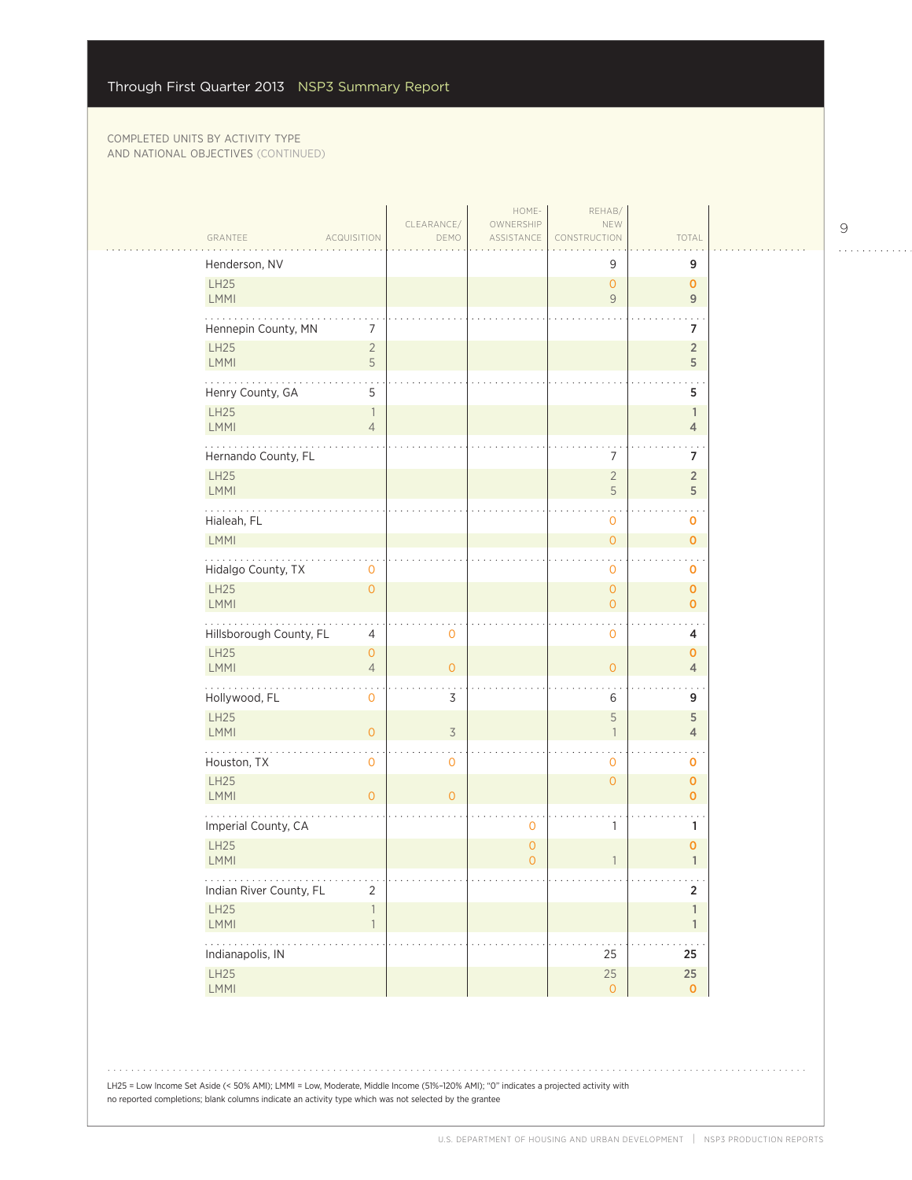|                              |                                  | CLEARANCE/     | HOME-<br>OWNERSHIP            | REHAB/<br>NEW                       |                                        |  |
|------------------------------|----------------------------------|----------------|-------------------------------|-------------------------------------|----------------------------------------|--|
| GRANTEE                      | <b>ACQUISITION</b>               | DEMO           | ASSISTANCE                    | CONSTRUCTION                        | TOTAL                                  |  |
| Henderson, NV                |                                  |                |                               | 9                                   | 9                                      |  |
| LH25<br>LMMI                 |                                  |                |                               | $\mathsf{O}\xspace$<br>$\mathsf{9}$ | $\mathbf{O}$<br>9                      |  |
| Hennepin County, MN          | 7                                |                |                               |                                     | 7                                      |  |
| LH25<br>LMMI                 | $\overline{c}$<br>5              |                |                               |                                     | $\sqrt{2}$<br>5                        |  |
| .<br>Henry County, GA        | 5                                |                |                               |                                     | 5                                      |  |
| <b>LH25</b><br><b>LMMI</b>   | $\overline{1}$<br>$\overline{4}$ |                |                               |                                     | $\mathbf{1}$<br>$\overline{4}$         |  |
| Hernando County, FL          |                                  |                |                               | 7                                   | 7                                      |  |
| <b>LH25</b><br>LMMI          |                                  |                |                               | $\sqrt{2}$<br>5                     | $\overline{2}$<br>5                    |  |
| Hialeah, FL                  |                                  |                |                               | 0                                   | ٠<br>0                                 |  |
| LMMI<br>.                    |                                  |                |                               | $\mathsf{O}$                        | $\mathbf 0$                            |  |
| Hidalgo County, TX           | 0                                |                |                               | $\mathbf 0$                         | $\mathbf 0$                            |  |
| <b>LH25</b><br><b>LMMI</b>   | $\overline{0}$                   |                |                               | $\overline{O}$<br>$\overline{O}$    | $\mathbf 0$<br>$\mathbf 0$             |  |
| Hillsborough County, FL      | 4                                | $\mathbf 0$    |                               | $\mathbf 0$                         | 4                                      |  |
| <b>LH25</b><br><b>LMMI</b>   | $\mathbf{O}$<br>$\overline{4}$   | $\overline{O}$ |                               | $\mathbf{O}$                        | $\mathbf 0$<br>$\overline{4}$          |  |
| Hollywood, FL                | $\mathbf 0$                      | 3              |                               | 6                                   | 9                                      |  |
| <b>LH25</b><br>LMMI          | $\overline{O}$                   | $\overline{3}$ |                               | 5<br>$\overline{\phantom{a}}$       | $\sqrt{5}$<br>$\overline{4}$           |  |
| Houston, TX                  | $\mathbf 0$                      | $\mathbf 0$    |                               | 0                                   | $\sim$<br>$\mathbf 0$                  |  |
| LH25<br><b>LMMI</b>          | $\overline{0}$                   | $\overline{O}$ |                               | $\overline{O}$                      | $\mathbf 0$<br>$\mathbf{O}$            |  |
| Imperial County, CA          |                                  |                | 0                             | $\mathbf{1}$                        | 1                                      |  |
| <b>LH25</b><br><b>LMMI</b>   |                                  |                | $\mathbf 0$<br>$\overline{0}$ | $\overline{1}$                      | $\pmb{0}$<br>$\mathbf{1}$              |  |
| .<br>Indian River County, FL | $\overline{2}$                   |                |                               |                                     | $\sim$ $\sim$ $\sim$<br>$\overline{2}$ |  |
| LH25<br>LMMI                 | 1<br>$\mathbf{1}$                |                |                               |                                     | $\mathbb{1}$<br>$\mathbf{1}$           |  |
| .<br>Indianapolis, IN        |                                  |                |                               | 25                                  | 25                                     |  |
| LH25<br>LMMI                 |                                  |                |                               | $25\,$<br>$\overline{0}$            | 25<br>$\mathbf 0$                      |  |

LH25 = Low Income Set Aside (< 50% AMI); LMMI = Low, Moderate, Middle Income (51%–120% AMI); "0" indicates a projected activity with no reported completions; blank columns indicate an activity type which was not selected by the grantee

 $\begin{array}{cccccccccccccc} . & . & . & . & . & . & . & . & . & . & . & . & . \end{array}$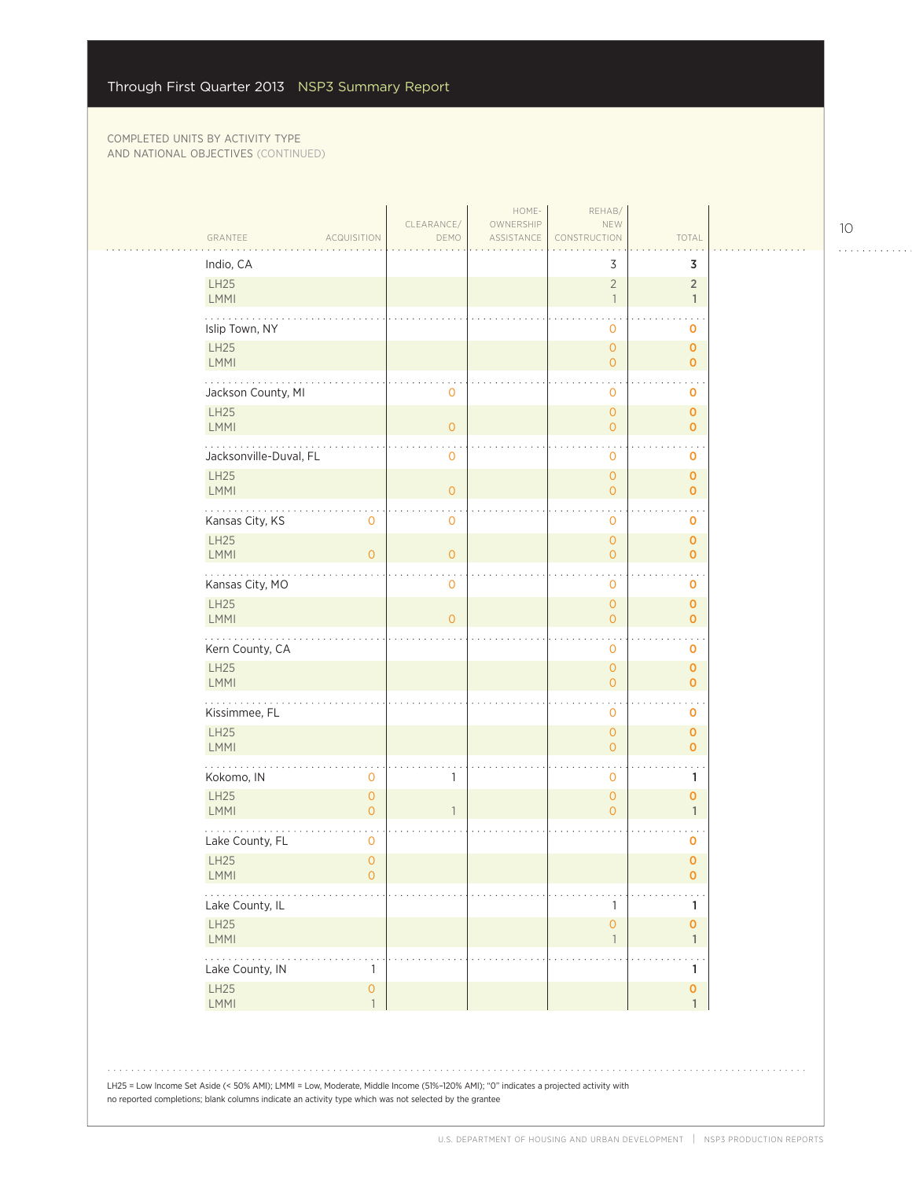$\mathbb{R}^2$ 

| GRANTEE<br><b>ACQUISITION</b>                                            | CLEARANCE/     |                         |                                       |                                    |  |
|--------------------------------------------------------------------------|----------------|-------------------------|---------------------------------------|------------------------------------|--|
|                                                                          | DEMO           | OWNERSHIP<br>ASSISTANCE | NEW<br>CONSTRUCTION                   | TOTAL                              |  |
| Indio, CA                                                                |                |                         | 3                                     | 3                                  |  |
| LH25<br><b>LMMI</b>                                                      |                |                         | $\overline{2}$<br>$\overline{1}$      | $\overline{2}$<br>$\mathbf{1}$     |  |
| Islip Town, NY                                                           |                |                         | $\mathbf{O}$                          | 0                                  |  |
| LH25<br><b>LMMI</b>                                                      |                |                         | $\circ$<br>$\overline{O}$             | $\pmb{0}$                          |  |
|                                                                          |                |                         |                                       | $\mathbf{O}$                       |  |
| Jackson County, MI<br><b>LH25</b>                                        | $\mathbf{0}$   |                         | $\mathbf{O}$<br>$\overline{O}$        | 0<br>$\mathbf{O}$                  |  |
| <b>LMMI</b>                                                              | $\circ$        |                         | $\overline{0}$                        | $\mathbf 0$                        |  |
| Jacksonville-Duval, FL                                                   | $\mathbf 0$    |                         | $\mathbf{O}$                          | 0                                  |  |
| <b>LH25</b><br><b>LMMI</b>                                               | $\circ$        |                         | $\circ$<br>$\overline{0}$             | $\mathbf 0$<br>$\mathbf 0$         |  |
| Kansas City, KS<br>$\mathbf 0$                                           | $\mathbf 0$    |                         | $\mathbf{O}$                          | 0                                  |  |
| <b>LH25</b><br><b>LMMI</b><br>$\overline{O}$                             | $\overline{0}$ |                         | $\mathsf{O}\xspace$<br>$\overline{0}$ | $\pmb{0}$<br>$\mathbf 0$           |  |
| Kansas City, MO                                                          | $\mathbf 0$    |                         | $\mathbf 0$                           | $\ddotsc$<br>$\mathbf 0$           |  |
| <b>LH25</b>                                                              |                |                         | $\circ$                               | $\mathbf 0$                        |  |
| <b>LMMI</b>                                                              | $\overline{O}$ |                         | $\overline{O}$                        | $\mathbf{O}$                       |  |
| Kern County, CA<br><b>LH25</b>                                           |                |                         | $\mathbf{O}$<br>$\circ$               | 0<br>$\mathbf 0$                   |  |
| <b>LMMI</b>                                                              |                |                         | $\overline{0}$                        | $\mathbf{O}$                       |  |
| .<br>Kissimmee, FL                                                       |                |                         | $\mathbf{0}$                          | 0                                  |  |
| LH25<br><b>LMMI</b>                                                      |                |                         | $\overline{O}$<br>$\overline{0}$      | $\mathbf 0$<br>$\mathbf{O}$        |  |
| Kokomo, IN<br>$\mathbf 0$                                                | 1              |                         | $\mathbf{O}$                          | 1                                  |  |
| <b>LH25</b><br>$\mathsf{O}\xspace$<br><b>LMMI</b><br>$\mathsf{O}\xspace$ | 1              |                         | $\circ$                               | $\mathbf{O}$                       |  |
|                                                                          |                |                         | $\overline{O}$                        | $\mathbf{1}$                       |  |
| Lake County, FL<br>$\mathbf 0$<br><b>LH25</b><br>$\circ$                 |                |                         |                                       | 0<br>$\mathbf 0$                   |  |
| <b>LMMI</b><br>$\mathbf 0$<br>$\cdots$                                   |                |                         |                                       | 0                                  |  |
| Lake County, IL                                                          |                |                         | 1                                     | 1                                  |  |
| LH25<br><b>LMMI</b>                                                      |                |                         | $\mathsf{O}\xspace$<br>$\mathbf{1}$   | $\pmb{\mathsf{O}}$<br>1            |  |
| والمالم المالم<br>Lake County, IN<br>$\mathbf{1}$                        |                |                         |                                       | $\ddotsc$<br>1                     |  |
| <b>LH25</b><br>$\mathsf{O}\xspace$<br>LMMI<br>$\mathbf{1}$               |                |                         |                                       | $\pmb{\mathsf{O}}$<br>$\mathbf{1}$ |  |
|                                                                          |                |                         |                                       |                                    |  |
|                                                                          |                |                         |                                       |                                    |  |

10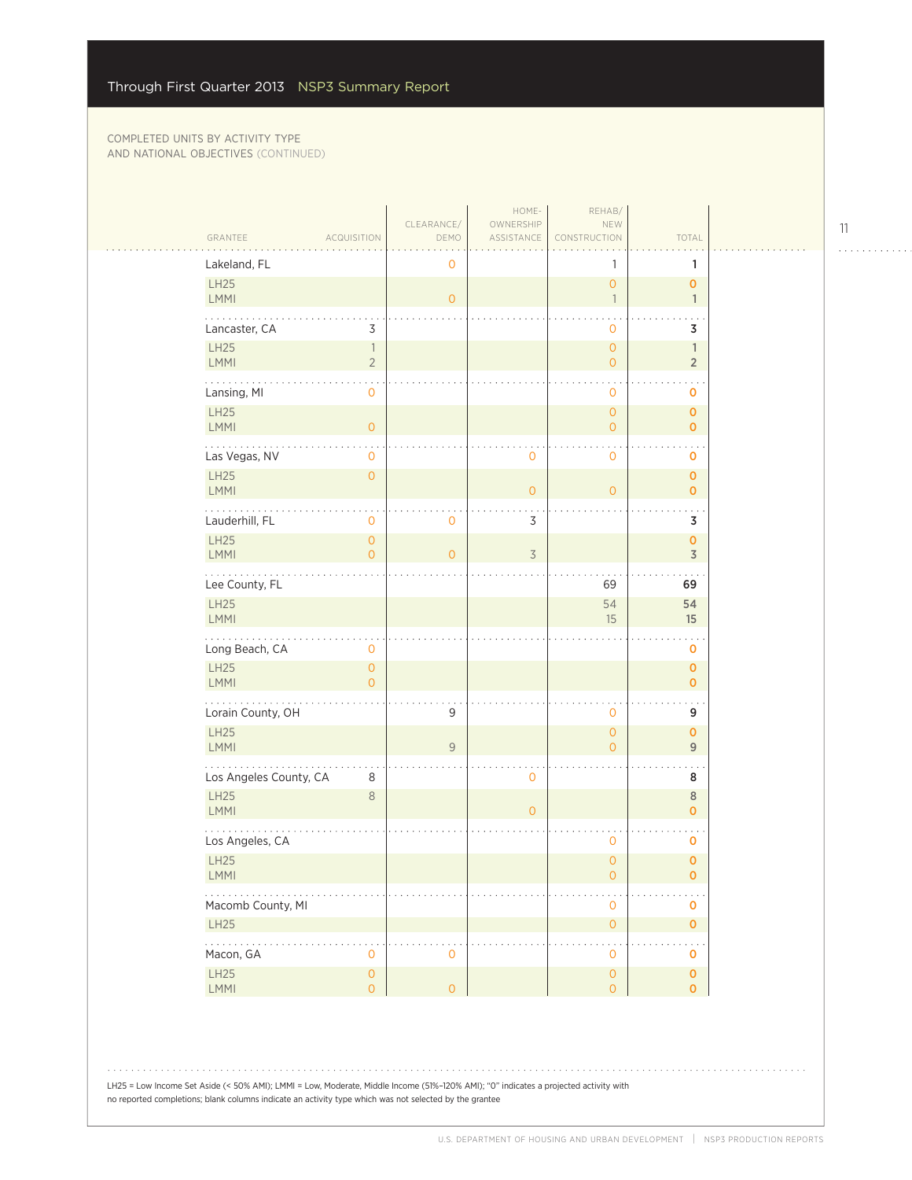| GRANTEE                        | <b>ACQUISITION</b>                         | CLEARANCE/<br>DEMO | HOME-<br>OWNERSHIP<br>ASSISTANCE | REHAB/<br>NEW<br><b>CONSTRUCTION</b>       | TOTAL                                |  |
|--------------------------------|--------------------------------------------|--------------------|----------------------------------|--------------------------------------------|--------------------------------------|--|
| Lakeland, FL                   |                                            | 0                  |                                  | 1                                          | 1                                    |  |
| LH25<br>LMMI                   |                                            | $\overline{O}$     |                                  | $\overline{0}$<br>$\overline{1}$           | $\mathbf 0$<br>$\mathbf{1}$          |  |
| Lancaster, CA                  | 3                                          |                    |                                  | 0                                          | 3                                    |  |
| LH25<br>LMMI                   | $\overline{\phantom{a}}$<br>$\overline{2}$ |                    |                                  | $\overline{0}$<br>$\overline{0}$           | $\mathbb{1}$<br>$\overline{2}$       |  |
| Lansing, MI                    | 0                                          |                    |                                  | 0                                          | O                                    |  |
| LH25<br><b>LMMI</b>            | $\mathbf{0}$                               |                    |                                  | $\overline{0}$<br>$\overline{0}$           | $\mathbf 0$<br>$\mathbf 0$           |  |
| Las Vegas, NV                  | 0                                          |                    | 0                                | 0                                          | O                                    |  |
| LH25<br>LMMI                   | $\overline{0}$                             |                    | 0                                | $\overline{O}$                             | $\mathbf 0$<br>$\mathbf 0$           |  |
| Lauderhill, FL                 | 0                                          | 0                  | 3                                |                                            | 3                                    |  |
| LH25<br><b>LMMI</b>            | $\overline{0}$<br>$\overline{0}$           | $\mathbf{0}$       | $\overline{3}$                   |                                            | $\pmb{0}$<br>$\overline{\mathsf{3}}$ |  |
| .<br>Lee County, FL            |                                            |                    |                                  | 69                                         | 69                                   |  |
| LH25<br>LMMI                   |                                            |                    |                                  | 54<br>15                                   | 54<br>15                             |  |
| Long Beach, CA<br>LH25<br>LMMI | 0<br>$\mathbf{0}$<br>$\overline{O}$        |                    |                                  |                                            | O<br>$\pmb{0}$<br>$\mathbf 0$        |  |
| Lorain County, OH              |                                            | 9                  |                                  | 0                                          | 9                                    |  |
| LH25<br><b>LMMI</b>            |                                            | 9                  |                                  | $\overline{0}$<br>$\overline{0}$           | $\mathbf 0$<br>$\mathsf g$           |  |
| Los Angeles County, CA         | 8                                          |                    | $\mathbf 0$                      |                                            | 8                                    |  |
| <b>LH25</b><br><b>LMMI</b>     | $8\phantom{1}$                             |                    | $\overline{0}$                   |                                            | $\,$ 8 $\,$<br>$\mathbf 0$           |  |
| Los Angeles, CA                |                                            |                    |                                  | 0                                          | O                                    |  |
| LH25<br><b>LMMI</b>            |                                            |                    |                                  | $\overline{0}$<br>0                        | $\mathbf 0$<br>0                     |  |
| Macomb County, MI              |                                            |                    |                                  | 0                                          | $\pmb{0}$                            |  |
| LH25                           |                                            |                    |                                  | $\mathsf{O}\xspace$                        | $\pmb{\mathsf{O}}$                   |  |
| .<br>Macon, GA                 | 0                                          | $\mathbf 0$        |                                  | 0                                          | 0                                    |  |
| LH25<br>LMM                    | $\mathsf{O}\xspace$<br>$\mathsf{O}\xspace$ | $\overline{O}$     |                                  | $\mathsf{O}\xspace$<br>$\mathsf{O}\xspace$ | $\pmb{\mathsf{O}}$<br>$\mathbf 0$    |  |

LH25 = Low Income Set Aside (< 50% AMI); LMMI = Low, Moderate, Middle Income (51%–120% AMI); "0" indicates a projected activity with no reported completions; blank columns indicate an activity type which was not selected by the grantee

. . . . . . . . . . . .

 $1.1.1.1.1.1.1.1$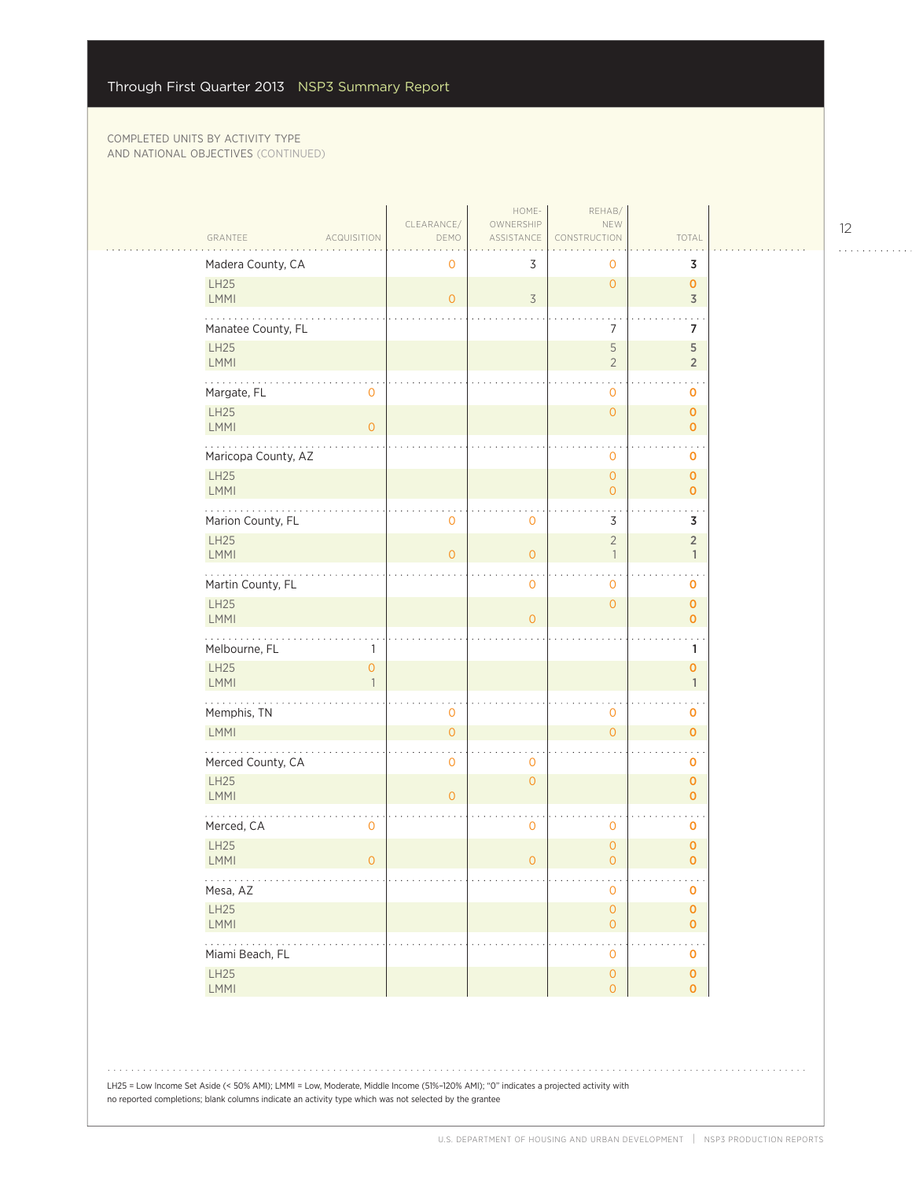| GRANTEE<br><b>ACQUISITION</b>  | CLEARANCE/<br>DEMO | HOME-<br>OWNERSHIP<br>ASSISTANCE | REHAB/<br>NEW<br>CONSTRUCTION               | TOTAL                              |  |
|--------------------------------|--------------------|----------------------------------|---------------------------------------------|------------------------------------|--|
| Madera County, CA              | $\mathbf 0$        | 3                                | 0                                           | 3                                  |  |
| LH25<br>LMMI                   | $\overline{0}$     | $\overline{\mathcal{S}}$         | $\overline{O}$                              | $\mathbf{O}$<br>$\overline{3}$     |  |
| Manatee County, FL             |                    |                                  | 7                                           | $\overline{7}$                     |  |
| LH25<br>LMMI                   |                    |                                  | 5<br>$\overline{2}$                         | 5<br>$\overline{2}$                |  |
| .<br>Margate, FL<br>0          |                    |                                  | 0                                           | 0                                  |  |
| LH25<br>LMMI<br>$\overline{0}$ |                    |                                  | $\mathsf{O}\xspace$                         | $\mathbf 0$<br>$\mathbf{0}$        |  |
| Maricopa County, AZ            |                    |                                  | 0                                           | $\mathbf 0$                        |  |
| <b>LH25</b><br>LMMI            |                    |                                  | $\overline{0}$<br>$\overline{O}$            | $\mathbf{O}$<br>$\mathbf{o}$       |  |
| Marion County, FL              | 0                  | $\mathbf 0$                      | 3                                           | 3                                  |  |
| LH25<br><b>LMMI</b>            | $\Omega$           | $\overline{O}$                   | $\overline{2}$<br>$\overline{\phantom{a}}$  | $\overline{2}$<br>$\mathbb{1}$     |  |
| Martin County, FL              |                    | $\mathbf 0$                      | 0                                           | $\cdot$ .<br>$\pmb{0}$             |  |
| LH25<br><b>LMMI</b>            |                    | $\overline{O}$                   | $\mathsf{O}\xspace$                         | $\pmb{\mathsf{O}}$<br>$\mathbf{O}$ |  |
| Melbourne, FL<br>1             |                    |                                  |                                             | $\mathbf{1}$                       |  |
| LH25<br>0<br>LMMI              |                    |                                  |                                             | $\pmb{0}$<br>$\mathbf{1}$          |  |
| .<br>Memphis, TN               | 0                  |                                  | 0                                           | 0                                  |  |
| <b>LMMI</b>                    | $\Omega$           |                                  | $\Omega$                                    | $\mathbf{o}$                       |  |
| Merced County, CA              | 0                  | $\mathbf 0$                      |                                             | 0                                  |  |
| <b>LH25</b><br>LMMI            | $\overline{O}$     | $\overline{O}$                   |                                             | $\mathbf{o}$<br>0                  |  |
| Merced, CA<br>0                |                    | $\mathbf 0$                      | 0                                           | $\mathbf 0$                        |  |
| LH25<br>LMMI<br>$\overline{0}$ |                    | $\overline{0}$                   | $\mathsf{O}\xspace$<br>$\overline{O}$       | $\pmb{0}$<br>$\mathbf{o}$          |  |
| .<br>Mesa, AZ                  |                    |                                  | 0                                           | o a ca<br>$\pmb{0}$                |  |
| LH25<br>LMMI                   |                    |                                  | $\mathsf{O}\xspace$<br>$\mathsf{O}\xspace$  | $\pmb{\mathsf{O}}$<br>$\mathbf{O}$ |  |
| .<br>Miami Beach, FL           |                    |                                  | $\ddot{\phantom{0}}$<br>$\mathsf{O}\xspace$ | $\ddotsc$<br>0                     |  |
| LH25<br>LMMI                   |                    |                                  | $\mathsf{O}\xspace$<br>$\mathsf{O}\xspace$  | $\mathbf 0$<br>$\mathbf{O}$        |  |

LH25 = Low Income Set Aside (< 50% AMI); LMMI = Low, Moderate, Middle Income (51%–120% AMI); "0" indicates a projected activity with no reported completions; blank columns indicate an activity type which was not selected by the grantee

12

. . . . . . . . . . . .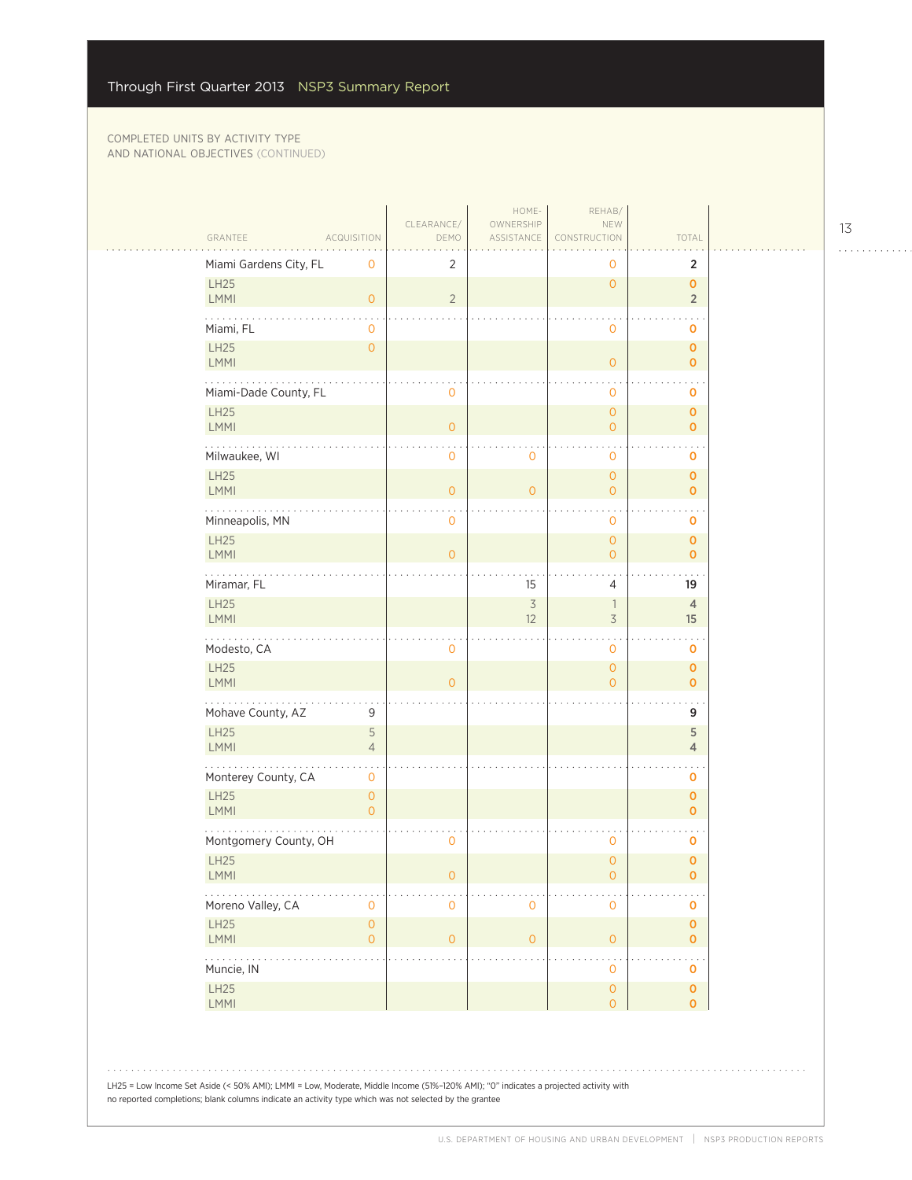| Miami Gardens City, FL<br>2<br>0<br>$\mathbf 0$<br>LH25<br>$\overline{O}$<br>$\overline{2}$<br><b>LMMI</b><br>$\circ$<br>Miami, FL<br>$\mathbf 0$<br>0<br>LH25<br>$\mathsf{O}\xspace$<br><b>LMMI</b><br>$\mathbf{O}$<br>Miami-Dade County, FL<br>$\mathbf{0}$<br>$\mathbf{0}$<br><b>LH25</b><br>$\mathbf{O}$<br>LMMI<br>$\overline{O}$<br>$\overline{O}$<br>Milwaukee, WI<br>$\mathbf 0$<br>0<br>0<br><b>LH25</b><br>$\overline{O}$<br><b>LMMI</b><br>$\overline{O}$<br>$\overline{O}$<br>$\overline{O}$<br>Minneapolis, MN<br>$\mathbf 0$<br>$\mathbf 0$<br><b>LH25</b><br>$\overline{O}$<br><b>LMMI</b><br>$\overline{0}$<br>$\overline{O}$<br>202020<br>Miramar, FL<br>15<br>$\overline{4}$<br><b>LH25</b> | $\overline{2}$<br>$\overline{O}$<br>$\overline{2}$<br>0<br>0<br>$\mathbf{O}$<br>0<br>$\overline{0}$<br>$\overline{0}$<br>0<br>$\mathbf{o}$<br>$\overline{0}$ |
|---------------------------------------------------------------------------------------------------------------------------------------------------------------------------------------------------------------------------------------------------------------------------------------------------------------------------------------------------------------------------------------------------------------------------------------------------------------------------------------------------------------------------------------------------------------------------------------------------------------------------------------------------------------------------------------------------------------|--------------------------------------------------------------------------------------------------------------------------------------------------------------|
|                                                                                                                                                                                                                                                                                                                                                                                                                                                                                                                                                                                                                                                                                                               |                                                                                                                                                              |
|                                                                                                                                                                                                                                                                                                                                                                                                                                                                                                                                                                                                                                                                                                               |                                                                                                                                                              |
|                                                                                                                                                                                                                                                                                                                                                                                                                                                                                                                                                                                                                                                                                                               |                                                                                                                                                              |
|                                                                                                                                                                                                                                                                                                                                                                                                                                                                                                                                                                                                                                                                                                               |                                                                                                                                                              |
|                                                                                                                                                                                                                                                                                                                                                                                                                                                                                                                                                                                                                                                                                                               |                                                                                                                                                              |
|                                                                                                                                                                                                                                                                                                                                                                                                                                                                                                                                                                                                                                                                                                               |                                                                                                                                                              |
|                                                                                                                                                                                                                                                                                                                                                                                                                                                                                                                                                                                                                                                                                                               |                                                                                                                                                              |
|                                                                                                                                                                                                                                                                                                                                                                                                                                                                                                                                                                                                                                                                                                               |                                                                                                                                                              |
|                                                                                                                                                                                                                                                                                                                                                                                                                                                                                                                                                                                                                                                                                                               | 0                                                                                                                                                            |
|                                                                                                                                                                                                                                                                                                                                                                                                                                                                                                                                                                                                                                                                                                               | 0<br>0                                                                                                                                                       |
|                                                                                                                                                                                                                                                                                                                                                                                                                                                                                                                                                                                                                                                                                                               | 19<br>$\overline{4}$                                                                                                                                         |
| $\overline{\mathcal{S}}$<br>$\overline{\phantom{a}}$<br>$\overline{3}$<br><b>LMMI</b><br>12                                                                                                                                                                                                                                                                                                                                                                                                                                                                                                                                                                                                                   | 15                                                                                                                                                           |
| Modesto, CA<br>$\mathbf 0$<br>$\mathbf 0$<br>LH25<br>$\mathbf{O}$                                                                                                                                                                                                                                                                                                                                                                                                                                                                                                                                                                                                                                             | 0<br>0                                                                                                                                                       |
| LMMI<br>$\Omega$<br>$\overline{O}$                                                                                                                                                                                                                                                                                                                                                                                                                                                                                                                                                                                                                                                                            | 0                                                                                                                                                            |
| .<br>Mohave County, AZ<br>9<br><b>LH25</b><br>5                                                                                                                                                                                                                                                                                                                                                                                                                                                                                                                                                                                                                                                               | 9<br>5                                                                                                                                                       |
| <b>LMMI</b><br>$\sqrt{4}$                                                                                                                                                                                                                                                                                                                                                                                                                                                                                                                                                                                                                                                                                     | $\overline{4}$                                                                                                                                               |
| Monterey County, CA<br>$\mathbf 0$<br><b>LH25</b><br>$\mathsf{O}\xspace$                                                                                                                                                                                                                                                                                                                                                                                                                                                                                                                                                                                                                                      | 0<br>0                                                                                                                                                       |
| <b>LMMI</b><br>$\circ$                                                                                                                                                                                                                                                                                                                                                                                                                                                                                                                                                                                                                                                                                        | $\overline{0}$                                                                                                                                               |
| Montgomery County, OH<br>0<br>0<br><b>LH25</b><br>$\overline{O}$                                                                                                                                                                                                                                                                                                                                                                                                                                                                                                                                                                                                                                              | 0<br>0                                                                                                                                                       |
| <b>LMMI</b><br>0<br>$\overline{0}$                                                                                                                                                                                                                                                                                                                                                                                                                                                                                                                                                                                                                                                                            | 0                                                                                                                                                            |
| Moreno Valley, CA<br>$\mathsf{O}\xspace$<br>$\mathbf 0$<br>0<br>$\mathbf 0$<br><b>LH25</b><br>$\mathsf{O}\xspace$                                                                                                                                                                                                                                                                                                                                                                                                                                                                                                                                                                                             | 0<br>0                                                                                                                                                       |
| LMMI<br>$\overline{O}$<br>$\circ$<br>$\overline{0}$<br>0                                                                                                                                                                                                                                                                                                                                                                                                                                                                                                                                                                                                                                                      | 0                                                                                                                                                            |
| $\mathbf{1}$ , $\mathbf{1}$ , $\mathbf{1}$ , $\mathbf{1}$<br>Muncie, IN<br>$\mathbf 0$                                                                                                                                                                                                                                                                                                                                                                                                                                                                                                                                                                                                                        | $\ddot{\phantom{0}}$<br>0                                                                                                                                    |
| LH25<br>$\circ$<br>LMMI<br>$\overline{O}$                                                                                                                                                                                                                                                                                                                                                                                                                                                                                                                                                                                                                                                                     | $\mathbf 0$<br>0                                                                                                                                             |

13

. . . . . . . . . . . .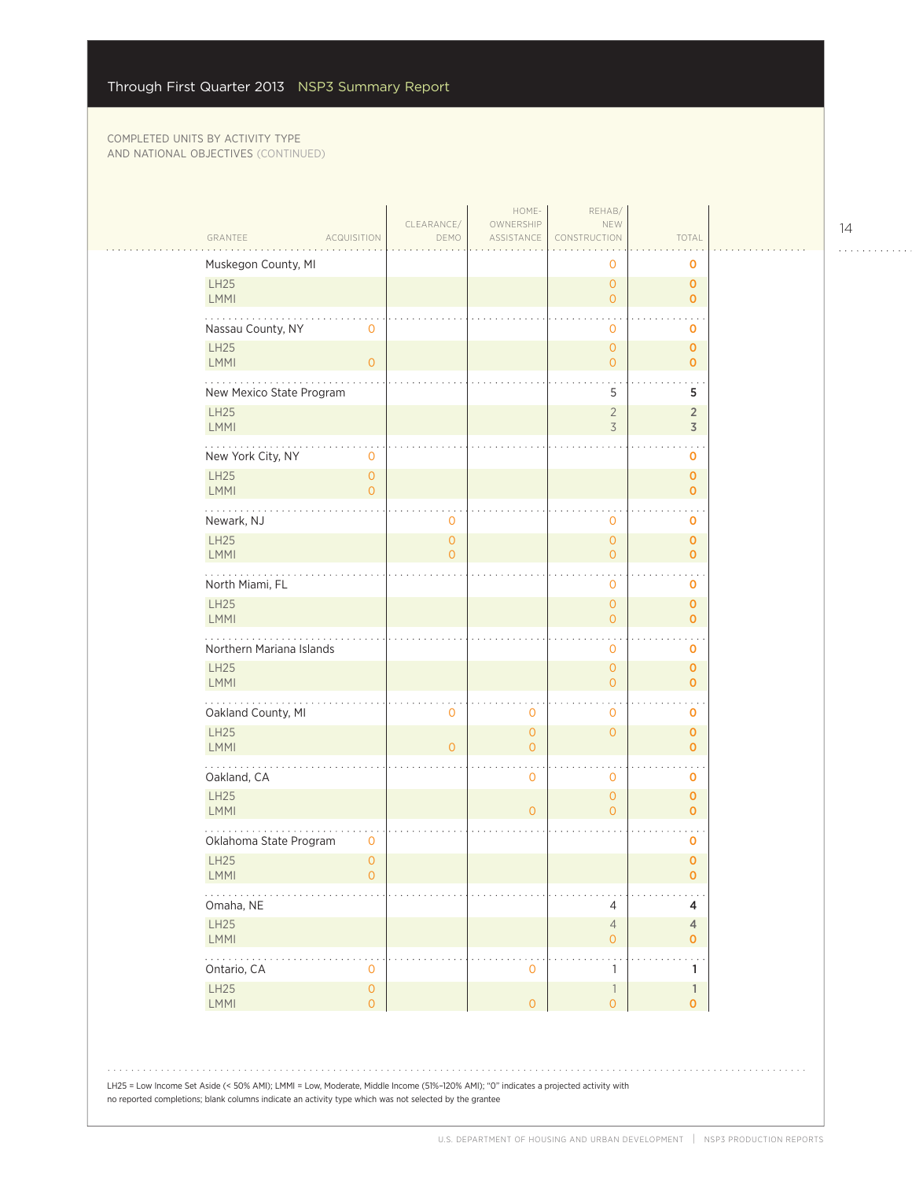|                                                              | CLEARANCE/                            | HOME-<br>OWNERSHIP            | REHAB/<br>NEW                              |                              |  |
|--------------------------------------------------------------|---------------------------------------|-------------------------------|--------------------------------------------|------------------------------|--|
| GRANTEE<br><b>ACQUISITION</b>                                | DEMO                                  | ASSISTANCE                    | CONSTRUCTION                               | TOTAL                        |  |
| Muskegon County, MI                                          |                                       |                               | 0                                          | 0                            |  |
| LH25<br><b>LMMI</b>                                          |                                       |                               | $\circ$<br>$\overline{O}$                  | $\mathbf 0$<br>$\mathbf{O}$  |  |
| Nassau County, NY<br>$\mathbf 0$                             |                                       |                               | $\mathbf 0$                                | O                            |  |
| <b>LH25</b><br><b>LMMI</b><br>$\circ$                        |                                       |                               | $\circ$<br>$\overline{O}$                  | $\mathbf 0$<br>$\mathbf 0$   |  |
| New Mexico State Program                                     |                                       |                               | 5                                          | 5                            |  |
| <b>LH25</b><br>LMMI                                          |                                       |                               | $\overline{2}$<br>3                        | $\overline{2}$<br>3          |  |
| .<br>New York City, NY<br>0                                  |                                       |                               |                                            | o                            |  |
| <b>LH25</b><br>$\mathsf{O}\xspace$<br>LMMI<br>$\overline{0}$ |                                       |                               |                                            | $\pmb{0}$<br>$\mathbf{O}$    |  |
| Newark, NJ                                                   | 0                                     |                               | $\mathbf 0$                                | 0                            |  |
| <b>LH25</b><br><b>LMMI</b>                                   | $\mathsf{O}\xspace$<br>$\overline{0}$ |                               | $\circ$<br>$\circ$                         | $\mathbf 0$<br>$\mathbf{O}$  |  |
| North Miami, FL                                              |                                       |                               | $\mathbf{0}$                               | 0                            |  |
| <b>LH25</b><br>LMMI                                          |                                       |                               | $\overline{O}$<br>$\circ$                  | $\mathbf{O}$<br>$\mathbf{O}$ |  |
| Northern Mariana Islands                                     |                                       |                               | 0                                          | 0                            |  |
| <b>LH25</b><br><b>LMMI</b>                                   |                                       |                               | $\overline{O}$<br>$\overline{0}$           | $\mathbf 0$<br>$\mathbf{O}$  |  |
| Oakland County, MI                                           | $\mathbf 0$                           | 0                             | 0                                          | 0                            |  |
| <b>LH25</b><br>LMMI                                          | $\overline{0}$                        | $\overline{0}$<br>$\mathbf 0$ | $\overline{O}$                             | $\mathbf 0$<br>$\mathbf 0$   |  |
| Oakland, CA                                                  |                                       | 0                             | $\mathbf{0}$                               | 0                            |  |
| <b>LH25</b><br>LMMI                                          |                                       | $\overline{0}$                | $\circ$<br>$\overline{O}$                  | $\mathbf 0$<br>$\mathbf{O}$  |  |
| Oklahoma State Program<br>0                                  |                                       |                               |                                            | 0                            |  |
| $\mathsf{O}$<br><b>LH25</b><br><b>LMMI</b><br>$\circ$        |                                       |                               |                                            | $\mathbf 0$<br>$\mathbf 0$   |  |
| Omaha, NE                                                    |                                       |                               | $\overline{4}$                             | 4                            |  |
| <b>LH25</b><br><b>LMMI</b>                                   |                                       |                               | $\overline{4}$<br>$\circ$                  | 4<br>$\mathbf{O}$            |  |
| .<br>Ontario, CA<br>0                                        |                                       | 0                             | 1                                          | 1                            |  |
| LH25<br>$\mathsf{O}\xspace$<br><b>LMMI</b><br>$\circ$        |                                       | $\overline{0}$                | $\overline{\phantom{a}}$<br>$\overline{O}$ | 1<br>$\mathbf{O}$            |  |
|                                                              |                                       |                               |                                            |                              |  |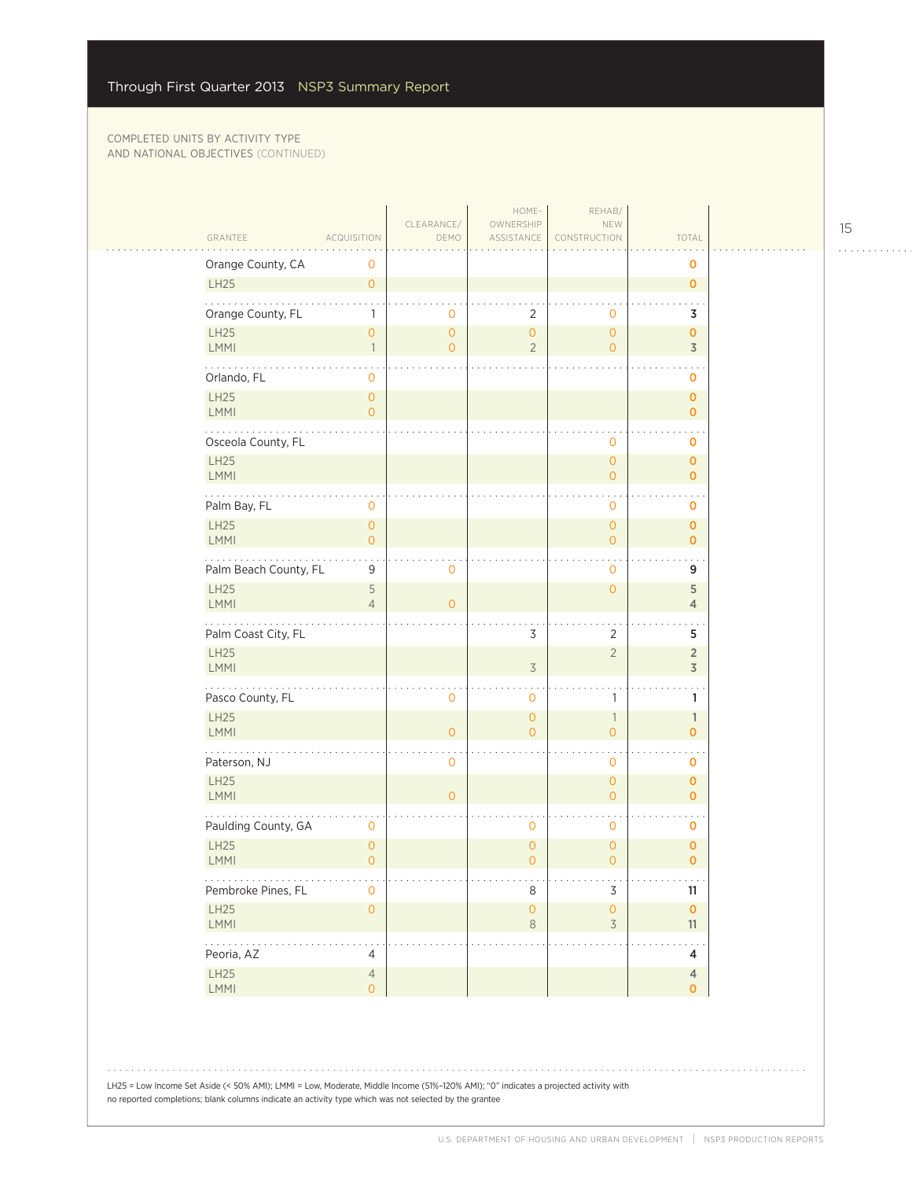|                            |                                                 | CLEARANCE/                            | HOME-<br>OWNERSHIP             | REHAB/<br>NEW                              |                                    |
|----------------------------|-------------------------------------------------|---------------------------------------|--------------------------------|--------------------------------------------|------------------------------------|
| GRANTEE                    | ACQUISITION                                     | DEMO                                  | ASSISTANCE                     | CONSTRUCTION                               | TOTAL                              |
| Orange County, CA          | 0                                               |                                       |                                |                                            | $\mathbf 0$                        |
| LH25                       | $\mathsf{O}\xspace$                             |                                       |                                |                                            | $\mathbf{O}$                       |
| .<br>Orange County, FL     | $\mathbf{1}$                                    | $\mathbf 0$                           | 2                              | $\mathbf 0$                                | 3                                  |
| LH25<br>LMMI               | $\mathsf{O}\xspace$<br>$\overline{\phantom{a}}$ | $\mathsf{O}\xspace$<br>$\overline{O}$ | $\circ$<br>$\overline{2}$      | $\circ$<br>$\circ$                         | $\mathbf{O}$<br>$\overline{3}$     |
|                            |                                                 |                                       |                                |                                            |                                    |
| Orlando, FL                | 0                                               |                                       |                                |                                            | $\mathbf 0$                        |
| LH25<br>LMMI               | $\mathsf{O}\xspace$<br>$\overline{O}$           |                                       |                                |                                            | $\pmb{\mathsf{O}}$<br>$\mathbf{O}$ |
| .<br>Osceola County, FL    |                                                 |                                       |                                | 0                                          | $\sim$<br>O                        |
| LH25<br>LMMI               |                                                 |                                       |                                | $\circ$<br>$\overline{O}$                  | $\mathbf{O}$<br>$\mathbf{O}$       |
| Palm Bay, FL               | $\mathbf 0$                                     |                                       |                                | $\mathbf{O}$                               | 0                                  |
| LH25<br>LMMI               | $\mathsf{O}\xspace$<br>$\overline{0}$           |                                       |                                | $\circ$<br>$\circ$                         | $\mathbf 0$<br>$\mathbf{O}$        |
| .<br>Palm Beach County, FL | $\ddot{\phantom{a}}$<br>9                       | $\circ$                               |                                | $\mathbf 0$                                | 9                                  |
| LH25<br><b>LMMI</b>        | 5<br>$\overline{4}$                             | $\overline{0}$                        |                                | $\mathsf{O}\xspace$                        | 5<br>$\overline{4}$                |
| Palm Coast City, FL        |                                                 |                                       | 3                              | $\overline{2}$                             | 5                                  |
| LH25<br>LMMI               |                                                 |                                       | $\overline{3}$                 | $\overline{2}$                             | $\sqrt{2}$<br>3                    |
| Pasco County, FL           |                                                 | 0                                     | $\mathbf{0}$                   | $\mathbf{1}$                               | 1                                  |
| LH25<br>LMMI               |                                                 | $\overline{O}$                        | $\overline{O}$<br>$\Omega$     | $\overline{\phantom{a}}$<br>$\overline{O}$ | $\mathbb{1}$<br>$\mathbf 0$        |
| .<br>Paterson, NJ          |                                                 | $\mathbf 0$                           |                                | $\mathbf 0$                                | $\bullet$<br>$\mathbf 0$           |
| LH25<br>LMMI               |                                                 | $\Omega$                              |                                | $\mathsf{O}\xspace$<br>$\overline{O}$      | $\mathbf 0$<br>$\mathbf{O}$        |
| Paulding County, GA        | $\mathbf 0$                                     |                                       | $\mathbf 0$                    | $\ddot{\phantom{0}}$<br>$\mathbf{O}$       | $\sim$<br>0                        |
| <b>LH25</b><br><b>LMMI</b> | $\mathsf{O}\xspace$<br>$\overline{0}$           |                                       | $\mathbf{O}$<br>$\overline{O}$ | $\circ$<br>$\overline{0}$                  | $\mathbf 0$<br>$\mathbf{O}$        |
| .<br>Pembroke Pines, FL    | 0                                               |                                       | 8                              | 3                                          | $\sim 100$<br>11                   |
| LH25<br>LMMI               | $\mathsf{O}\xspace$                             |                                       | $\mathsf O$<br>$\,8\,$         | $\mathsf{O}\xspace$<br>$\overline{3}$      | $\pmb{\mathsf{O}}$<br>11           |
| .<br>Peoria, AZ            | $\overline{4}$                                  |                                       |                                |                                            | $\sim$ $\sim$<br>4                 |
| LH25<br>LMMI               | $\sqrt{4}$<br>$\circ$                           |                                       |                                |                                            | $\overline{4}$<br>$\mathbf{0}$     |

15

. . . . . . . . . . . .

LH25 = Low Income Set Aside (< 50% AMI); LMMI = Low, Moderate, Middle Income (51%–120% AMI); "0" indicates a projected activity with no reported completions; blank columns indicate an activity type which was not selected by the grantee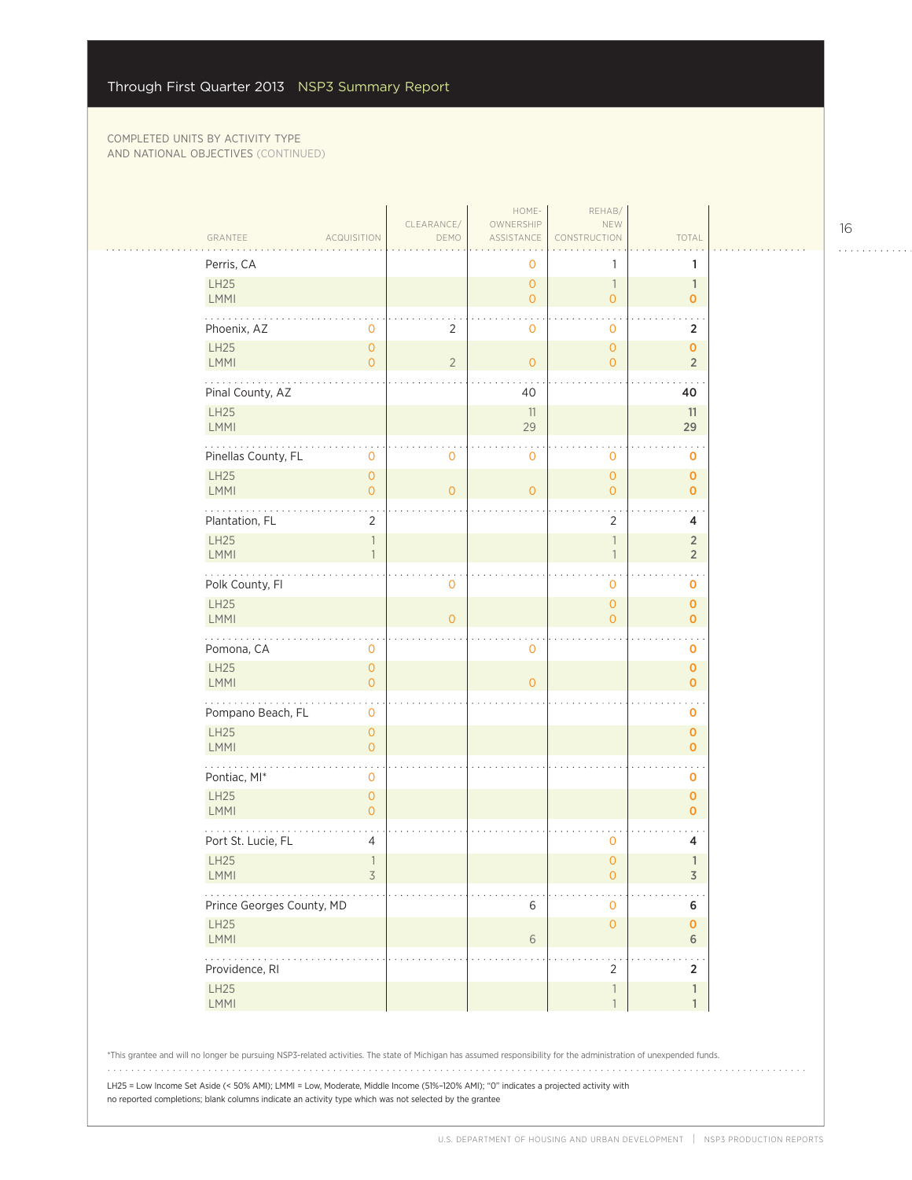#### COMPLETED UNITS BY ACTIVITY TYPE AND NATIONAL OBJECTIVES (CONTINUED)

| GRANTEE<br><b>ACQUISITION</b>                                                                                                                                                                                                                                                                              | CLEARANCE/<br>DEMO | HOME-<br>OWNERSHIP<br>ASSISTANCE | REHAB/<br>NEW<br>CONSTRUCTION                        | TOTAL                            |
|------------------------------------------------------------------------------------------------------------------------------------------------------------------------------------------------------------------------------------------------------------------------------------------------------------|--------------------|----------------------------------|------------------------------------------------------|----------------------------------|
| Perris, CA                                                                                                                                                                                                                                                                                                 |                    | 0                                | 1                                                    | 1                                |
| LH25<br><b>LMMI</b>                                                                                                                                                                                                                                                                                        |                    | $\mathbf{O}$<br>$\overline{O}$   | $\overline{\phantom{a}}$<br>$\overline{O}$           | $\mathbf{1}$<br>$\mathbf 0$      |
| Phoenix, AZ<br>$\mathbf{0}$                                                                                                                                                                                                                                                                                | 2                  | $\mathbf 0$                      | $\mathbf{O}$                                         | $\overline{2}$                   |
| <b>LH25</b><br>$\overline{0}$<br><b>LMMI</b><br>$\overline{0}$                                                                                                                                                                                                                                             | $\overline{2}$     | $\mathbf{O}$                     | $\mathsf{O}\xspace$<br>$\overline{O}$                | $\mathbf 0$<br>$\overline{2}$    |
| Pinal County, AZ                                                                                                                                                                                                                                                                                           |                    | 40                               |                                                      | 40                               |
| <b>LH25</b><br>LMMI                                                                                                                                                                                                                                                                                        |                    | 11<br>29                         |                                                      | 11<br>29                         |
| Pinellas County, FL<br>$\mathbf 0$                                                                                                                                                                                                                                                                         | 0                  | $\mathbf 0$                      | $\mathbf 0$                                          | 0                                |
| <b>LH25</b><br>$\mathsf{O}\xspace$<br><b>LMMI</b><br>$\overline{O}$                                                                                                                                                                                                                                        | $\overline{O}$     | $\mathbf{O}$                     | $\mathsf{O}\xspace$<br>$\overline{O}$                | $\mathbf 0$<br>$\mathbf{O}$      |
| Plantation, FL<br>$\overline{2}$                                                                                                                                                                                                                                                                           |                    |                                  | $\overline{2}$                                       | 4                                |
| <b>LH25</b><br>$\overline{\phantom{a}}$<br>LMMI<br>$\overline{1}$                                                                                                                                                                                                                                          |                    |                                  | $\overline{\phantom{a}}$<br>$\overline{\phantom{a}}$ | $\overline{2}$<br>$\overline{2}$ |
| .<br>Polk County, Fl                                                                                                                                                                                                                                                                                       | 0                  |                                  | 0                                                    | 0                                |
| <b>LH25</b><br><b>LMMI</b>                                                                                                                                                                                                                                                                                 | $\overline{O}$     |                                  | $\circ$<br>$\overline{O}$                            | $\mathbf 0$<br>$\mathbf{O}$      |
| Pomona, CA<br>$\mathbf 0$                                                                                                                                                                                                                                                                                  |                    | $\mathbf 0$                      |                                                      | 0                                |
| <b>LH25</b><br>$\mathsf{O}\xspace$<br><b>LMMI</b><br>$\overline{0}$                                                                                                                                                                                                                                        |                    | $\overline{O}$                   |                                                      | $\mathbf 0$<br>$\mathbf{O}$      |
| Pompano Beach, FL<br>$\mathbf 0$                                                                                                                                                                                                                                                                           |                    |                                  |                                                      | $\mathbf 0$                      |
| <b>LH25</b><br>$\overline{O}$<br>LMMI<br>$\overline{0}$                                                                                                                                                                                                                                                    |                    |                                  |                                                      | $\mathbf 0$<br>$\mathbf 0$       |
| Pontiac, MI*<br>$\mathbf 0$                                                                                                                                                                                                                                                                                |                    |                                  |                                                      | 0                                |
| <b>LH25</b><br>$\overline{0}$<br>LMMI<br>$\overline{0}$                                                                                                                                                                                                                                                    |                    |                                  |                                                      | $\mathbf 0$<br>$\mathbf{O}$      |
| Port St. Lucie, FL<br>4                                                                                                                                                                                                                                                                                    |                    |                                  | 0                                                    | 4                                |
| <b>LH25</b><br>$\overline{\mathbf{1}}$<br>$\overline{\mathcal{S}}$<br><b>LMMI</b>                                                                                                                                                                                                                          |                    |                                  | $\overline{0}$<br>$\circ$                            | $\mathbb{1}$<br>3                |
| Prince Georges County, MD                                                                                                                                                                                                                                                                                  |                    | 6                                | $\mathbf{O}$                                         | 6                                |
| <b>LH25</b><br>LMMI                                                                                                                                                                                                                                                                                        |                    | 6                                | $\overline{O}$                                       | $\mathbf 0$<br>6                 |
| .<br>Providence, RI                                                                                                                                                                                                                                                                                        |                    |                                  | $\ddot{\phantom{1}}$<br>2                            | 2                                |
| <b>LH25</b><br><b>LMMI</b>                                                                                                                                                                                                                                                                                 |                    |                                  | $\mathbb{1}$<br>$\mathbf{1}$                         | 1<br>$\mathbf{1}$                |
| *This grantee and will no longer be pursuing NSP3-related activities. The state of Michigan has assumed responsibility for the administration of unexpended funds.<br>LH25 = Low Income Set Aside (< 50% AMI); LMMI = Low, Moderate, Middle Income (51%-120% AMI); "0" indicates a projected activity with |                    |                                  |                                                      |                                  |

no reported completions; blank columns indicate an activity type which was not selected by the grantee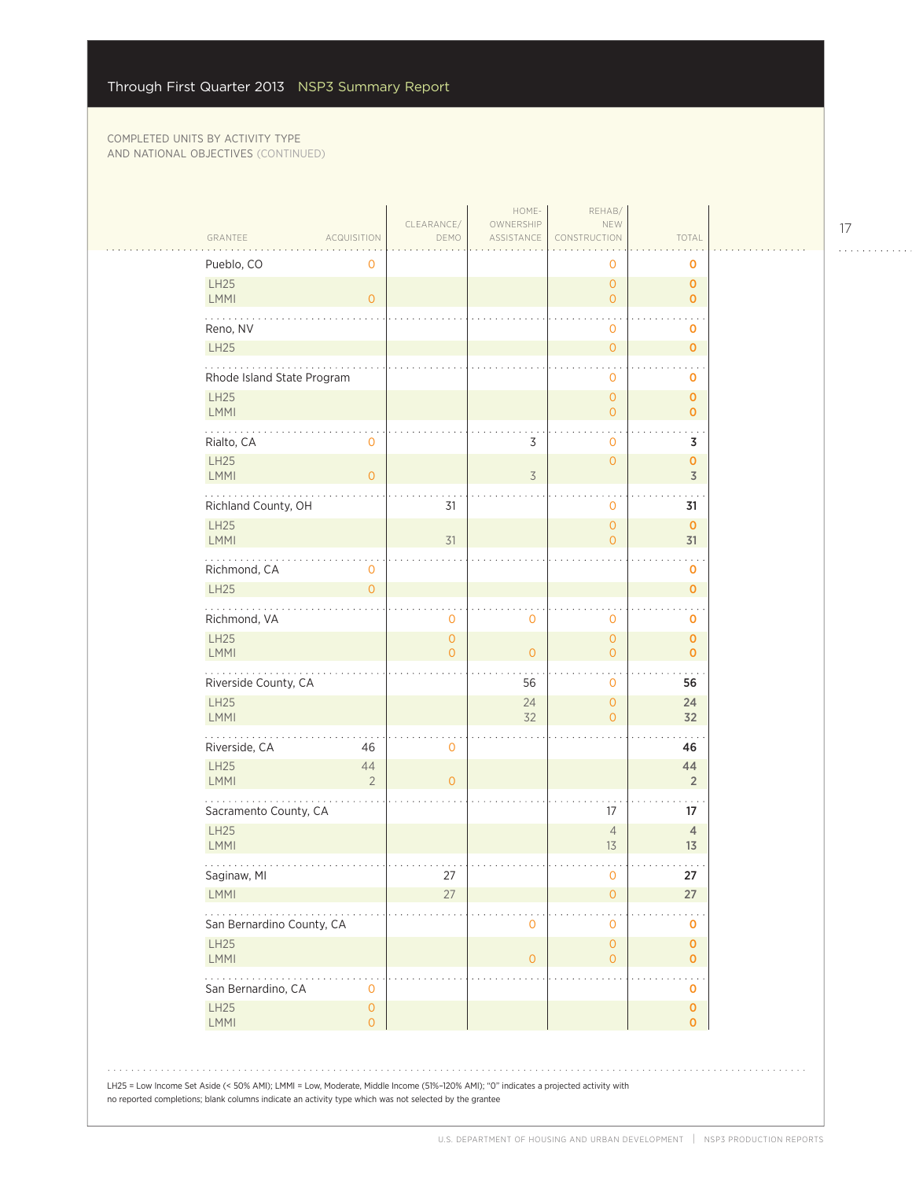| GRANTEE<br><b>ACQUISITION</b>                                                                                                        | CLEARANCE/<br>DEMO       | HOME-<br>OWNERSHIP<br>ASSISTANCE | REHAB/<br>NEW<br>CONSTRUCTION              | TOTAL                                   |  |
|--------------------------------------------------------------------------------------------------------------------------------------|--------------------------|----------------------------------|--------------------------------------------|-----------------------------------------|--|
| Pueblo, CO<br>0                                                                                                                      |                          |                                  | 0                                          | 0                                       |  |
| LH25<br><b>LMMI</b><br>$\mathbf{O}$                                                                                                  |                          |                                  | $\overline{O}$<br>$\overline{O}$           | $\mathbf 0$<br>$\mathbf 0$              |  |
| Reno, NV                                                                                                                             |                          |                                  | 0                                          | 0                                       |  |
| LH25                                                                                                                                 |                          |                                  | $\mathsf{O}\xspace$                        | $\mathbf 0$                             |  |
| Rhode Island State Program                                                                                                           |                          |                                  | 0                                          | 0                                       |  |
| <b>LH25</b><br><b>LMMI</b>                                                                                                           |                          |                                  | $\mathsf{O}\xspace$<br>$\overline{O}$      | $\mathbf 0$<br>$\mathbf{O}$             |  |
| $\cdots$<br>Rialto, CA<br>0                                                                                                          |                          | 3                                | $\ddot{\phantom{0}}$<br>0                  | $\sim$<br>3                             |  |
| LH25<br><b>LMMI</b><br>$\mathbf{O}$                                                                                                  |                          | 3                                | $\overline{O}$                             | $\mathbf{o}$<br>$\overline{\mathsf{3}}$ |  |
| Richland County, OH                                                                                                                  | 31                       |                                  | $\mathbf{O}$                               | 31                                      |  |
| <b>LH25</b><br><b>LMMI</b>                                                                                                           | 31                       |                                  | $\overline{O}$<br>$\overline{O}$           | $\mathbf 0$<br>31                       |  |
| .<br>Richmond, CA<br>0<br>LH25<br>$\overline{0}$                                                                                     |                          |                                  |                                            | 0<br>$\mathbf 0$                        |  |
| $\omega$ is a second set of $\omega$                                                                                                 |                          |                                  |                                            | $\sim$ .                                |  |
| Richmond, VA<br>LH25                                                                                                                 | 0<br>$\mathsf{O}\xspace$ | 0                                | 0<br>$\mathsf{O}\xspace$                   | 0<br>$\mathbf 0$                        |  |
| <b>LMMI</b>                                                                                                                          | $\overline{O}$           | $\overline{0}$                   | $\overline{O}$                             | $\mathbf{O}$                            |  |
| Riverside County, CA                                                                                                                 |                          | 56                               | 0                                          | 56                                      |  |
| LH25<br><b>LMMI</b>                                                                                                                  |                          | 24<br>32                         | $\overline{O}$<br>$\overline{O}$           | 24<br>32                                |  |
| .<br>Riverside, CA<br>46                                                                                                             | 0                        |                                  |                                            | 46                                      |  |
| LH25<br>44<br><b>LMMI</b><br>$\overline{2}$                                                                                          | $\overline{0}$           |                                  |                                            | 44<br>$\overline{2}$                    |  |
| Sacramento County, CA                                                                                                                |                          |                                  | 17                                         | 17                                      |  |
| LH25<br><b>LMMI</b>                                                                                                                  |                          |                                  | $\overline{4}$<br>13                       | $\sqrt{4}$<br>13                        |  |
| Saginaw, MI                                                                                                                          | 27                       |                                  | $\mathsf{O}\xspace$                        | 27                                      |  |
| <b>LMMI</b>                                                                                                                          | 27                       |                                  | $\overline{O}$                             | 27                                      |  |
| San Bernardino County, CA                                                                                                            |                          | 0                                | 0                                          | 0                                       |  |
| LH25<br><b>LMMI</b>                                                                                                                  |                          | $\mathbf 0$                      | $\mathsf{O}\xspace$<br>$\mathsf{O}\xspace$ | 0<br>$\mathbf 0$                        |  |
| San Bernardino, CA<br>$\mathbf 0$                                                                                                    |                          |                                  |                                            | o                                       |  |
| LH25<br>$\mathsf{O}\xspace$<br><b>LMMI</b><br>$\overline{O}$                                                                         |                          |                                  |                                            | 0<br>$\mathbf 0$                        |  |
|                                                                                                                                      |                          |                                  |                                            |                                         |  |
| LH25 = Low Income Set Aside (< 50% AMI); LMMI = Low, Moderate, Middle Income (51%-120% AMI); "0" indicates a projected activity with |                          |                                  |                                            |                                         |  |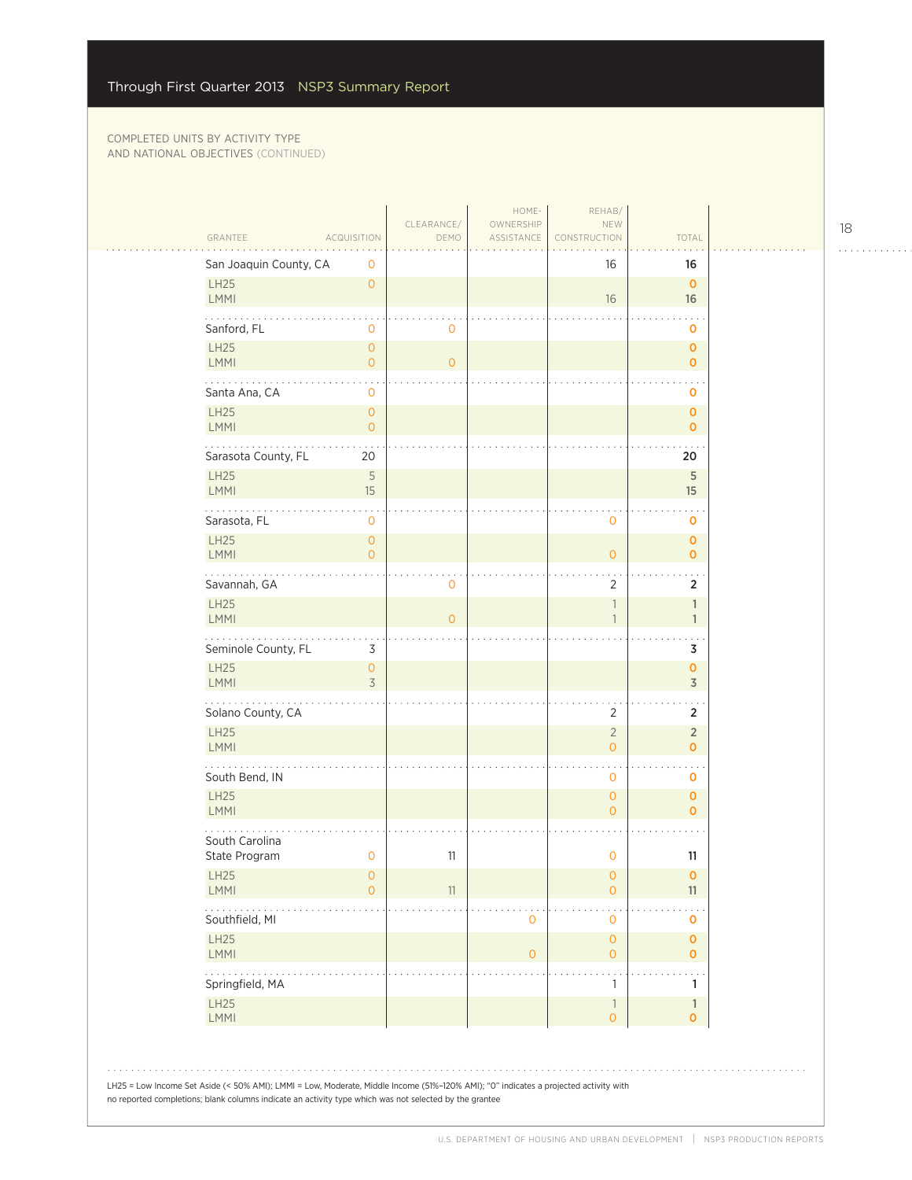| <b>LH25</b><br>$\mathbf{O}$<br>$\overline{0}$<br>LMMI<br>16<br>16<br>Sanford, FL<br>$\circ$<br>$\mathbf 0$<br>0<br>LH25<br>$\mathbf{0}$<br>0<br>LMMI<br>$\overline{O}$<br>$\mathbf{O}$<br>0<br>.<br>Santa Ana, CA<br>0<br>0<br>LH25<br>$\overline{O}$<br>0<br>LMMI<br>$\overline{0}$<br>$\mathbf 0$<br>Sarasota County, FL<br>20<br>20<br>$\sqrt{5}$<br><b>LH25</b><br>5<br>LMMI<br>15<br>15<br>Sarasota, FL<br>$\mathbf 0$<br>$\mathbf 0$<br>0<br><b>LH25</b><br>$\overline{O}$<br>0<br>LMMI<br>$\overline{0}$<br>$\mathsf{O}\xspace$<br>0<br>.<br>$\overline{2}$<br>Savannah, GA<br>$\mathbf 0$<br>2<br><b>LH25</b><br>$\overline{\phantom{a}}$<br>$\mathbb{1}$<br>LMMI<br>$\overline{0}$<br>$\overline{1}$<br>$\mathbf{1}$<br>Seminole County, FL<br>3<br>3<br><b>LH25</b><br>$\mathsf{O}\xspace$<br>0<br>3<br>$\overline{3}$<br>LMMI<br>.<br>Solano County, CA<br>2<br>2<br>LH25<br>$\overline{2}$<br>$\overline{2}$<br>LMMI<br>$\overline{O}$<br>$\overline{0}$<br>$\ddot{\phantom{a}}$<br>South Bend, IN<br>$\mathbf 0$<br>0<br><b>LH25</b><br>$\mathsf{O}\xspace$<br>0<br>LMMI<br>$\mathbf{O}$<br>$\mathbf{o}$<br>South Carolina<br>State Program<br>11<br>$\mathbf 0$<br>11<br>0<br><b>LH25</b><br>0<br>$\overline{0}$<br>0<br>$\mathsf{O}$<br>11<br><b>LMMI</b><br>$\overline{0}$<br>11<br>Southfield, MI<br>$\overline{0}$<br>$\mathbf 0$<br>0<br>LH25<br>$\mathsf{O}\xspace$<br>0<br>LMMI<br>$\mathbf{O}$<br>$\mathsf{O}\xspace$<br>$\overline{0}$<br>Springfield, MA<br>1<br>1<br><b>LH25</b><br>$\overline{\phantom{a}}$<br>$\mathbb{1}$<br><b>LMMI</b><br>$\mathsf{O}\xspace$<br>$\mathbf 0$ | San Joaquin County, CA | 0 |  | 16 | 16 |
|------------------------------------------------------------------------------------------------------------------------------------------------------------------------------------------------------------------------------------------------------------------------------------------------------------------------------------------------------------------------------------------------------------------------------------------------------------------------------------------------------------------------------------------------------------------------------------------------------------------------------------------------------------------------------------------------------------------------------------------------------------------------------------------------------------------------------------------------------------------------------------------------------------------------------------------------------------------------------------------------------------------------------------------------------------------------------------------------------------------------------------------------------------------------------------------------------------------------------------------------------------------------------------------------------------------------------------------------------------------------------------------------------------------------------------------------------------------------------------------------------------------------------------------------------------------------------------------------------------|------------------------|---|--|----|----|
|                                                                                                                                                                                                                                                                                                                                                                                                                                                                                                                                                                                                                                                                                                                                                                                                                                                                                                                                                                                                                                                                                                                                                                                                                                                                                                                                                                                                                                                                                                                                                                                                            |                        |   |  |    |    |
|                                                                                                                                                                                                                                                                                                                                                                                                                                                                                                                                                                                                                                                                                                                                                                                                                                                                                                                                                                                                                                                                                                                                                                                                                                                                                                                                                                                                                                                                                                                                                                                                            |                        |   |  |    |    |
|                                                                                                                                                                                                                                                                                                                                                                                                                                                                                                                                                                                                                                                                                                                                                                                                                                                                                                                                                                                                                                                                                                                                                                                                                                                                                                                                                                                                                                                                                                                                                                                                            |                        |   |  |    |    |
|                                                                                                                                                                                                                                                                                                                                                                                                                                                                                                                                                                                                                                                                                                                                                                                                                                                                                                                                                                                                                                                                                                                                                                                                                                                                                                                                                                                                                                                                                                                                                                                                            |                        |   |  |    |    |
|                                                                                                                                                                                                                                                                                                                                                                                                                                                                                                                                                                                                                                                                                                                                                                                                                                                                                                                                                                                                                                                                                                                                                                                                                                                                                                                                                                                                                                                                                                                                                                                                            |                        |   |  |    |    |
|                                                                                                                                                                                                                                                                                                                                                                                                                                                                                                                                                                                                                                                                                                                                                                                                                                                                                                                                                                                                                                                                                                                                                                                                                                                                                                                                                                                                                                                                                                                                                                                                            |                        |   |  |    |    |
|                                                                                                                                                                                                                                                                                                                                                                                                                                                                                                                                                                                                                                                                                                                                                                                                                                                                                                                                                                                                                                                                                                                                                                                                                                                                                                                                                                                                                                                                                                                                                                                                            |                        |   |  |    |    |
|                                                                                                                                                                                                                                                                                                                                                                                                                                                                                                                                                                                                                                                                                                                                                                                                                                                                                                                                                                                                                                                                                                                                                                                                                                                                                                                                                                                                                                                                                                                                                                                                            |                        |   |  |    |    |
|                                                                                                                                                                                                                                                                                                                                                                                                                                                                                                                                                                                                                                                                                                                                                                                                                                                                                                                                                                                                                                                                                                                                                                                                                                                                                                                                                                                                                                                                                                                                                                                                            |                        |   |  |    |    |
|                                                                                                                                                                                                                                                                                                                                                                                                                                                                                                                                                                                                                                                                                                                                                                                                                                                                                                                                                                                                                                                                                                                                                                                                                                                                                                                                                                                                                                                                                                                                                                                                            |                        |   |  |    |    |
|                                                                                                                                                                                                                                                                                                                                                                                                                                                                                                                                                                                                                                                                                                                                                                                                                                                                                                                                                                                                                                                                                                                                                                                                                                                                                                                                                                                                                                                                                                                                                                                                            |                        |   |  |    |    |
|                                                                                                                                                                                                                                                                                                                                                                                                                                                                                                                                                                                                                                                                                                                                                                                                                                                                                                                                                                                                                                                                                                                                                                                                                                                                                                                                                                                                                                                                                                                                                                                                            |                        |   |  |    |    |
|                                                                                                                                                                                                                                                                                                                                                                                                                                                                                                                                                                                                                                                                                                                                                                                                                                                                                                                                                                                                                                                                                                                                                                                                                                                                                                                                                                                                                                                                                                                                                                                                            |                        |   |  |    |    |
|                                                                                                                                                                                                                                                                                                                                                                                                                                                                                                                                                                                                                                                                                                                                                                                                                                                                                                                                                                                                                                                                                                                                                                                                                                                                                                                                                                                                                                                                                                                                                                                                            |                        |   |  |    |    |
|                                                                                                                                                                                                                                                                                                                                                                                                                                                                                                                                                                                                                                                                                                                                                                                                                                                                                                                                                                                                                                                                                                                                                                                                                                                                                                                                                                                                                                                                                                                                                                                                            |                        |   |  |    |    |
|                                                                                                                                                                                                                                                                                                                                                                                                                                                                                                                                                                                                                                                                                                                                                                                                                                                                                                                                                                                                                                                                                                                                                                                                                                                                                                                                                                                                                                                                                                                                                                                                            |                        |   |  |    |    |
|                                                                                                                                                                                                                                                                                                                                                                                                                                                                                                                                                                                                                                                                                                                                                                                                                                                                                                                                                                                                                                                                                                                                                                                                                                                                                                                                                                                                                                                                                                                                                                                                            |                        |   |  |    |    |
|                                                                                                                                                                                                                                                                                                                                                                                                                                                                                                                                                                                                                                                                                                                                                                                                                                                                                                                                                                                                                                                                                                                                                                                                                                                                                                                                                                                                                                                                                                                                                                                                            |                        |   |  |    |    |
|                                                                                                                                                                                                                                                                                                                                                                                                                                                                                                                                                                                                                                                                                                                                                                                                                                                                                                                                                                                                                                                                                                                                                                                                                                                                                                                                                                                                                                                                                                                                                                                                            |                        |   |  |    |    |
|                                                                                                                                                                                                                                                                                                                                                                                                                                                                                                                                                                                                                                                                                                                                                                                                                                                                                                                                                                                                                                                                                                                                                                                                                                                                                                                                                                                                                                                                                                                                                                                                            |                        |   |  |    |    |
|                                                                                                                                                                                                                                                                                                                                                                                                                                                                                                                                                                                                                                                                                                                                                                                                                                                                                                                                                                                                                                                                                                                                                                                                                                                                                                                                                                                                                                                                                                                                                                                                            |                        |   |  |    |    |
|                                                                                                                                                                                                                                                                                                                                                                                                                                                                                                                                                                                                                                                                                                                                                                                                                                                                                                                                                                                                                                                                                                                                                                                                                                                                                                                                                                                                                                                                                                                                                                                                            |                        |   |  |    |    |

18

. . . . . . . . . . . .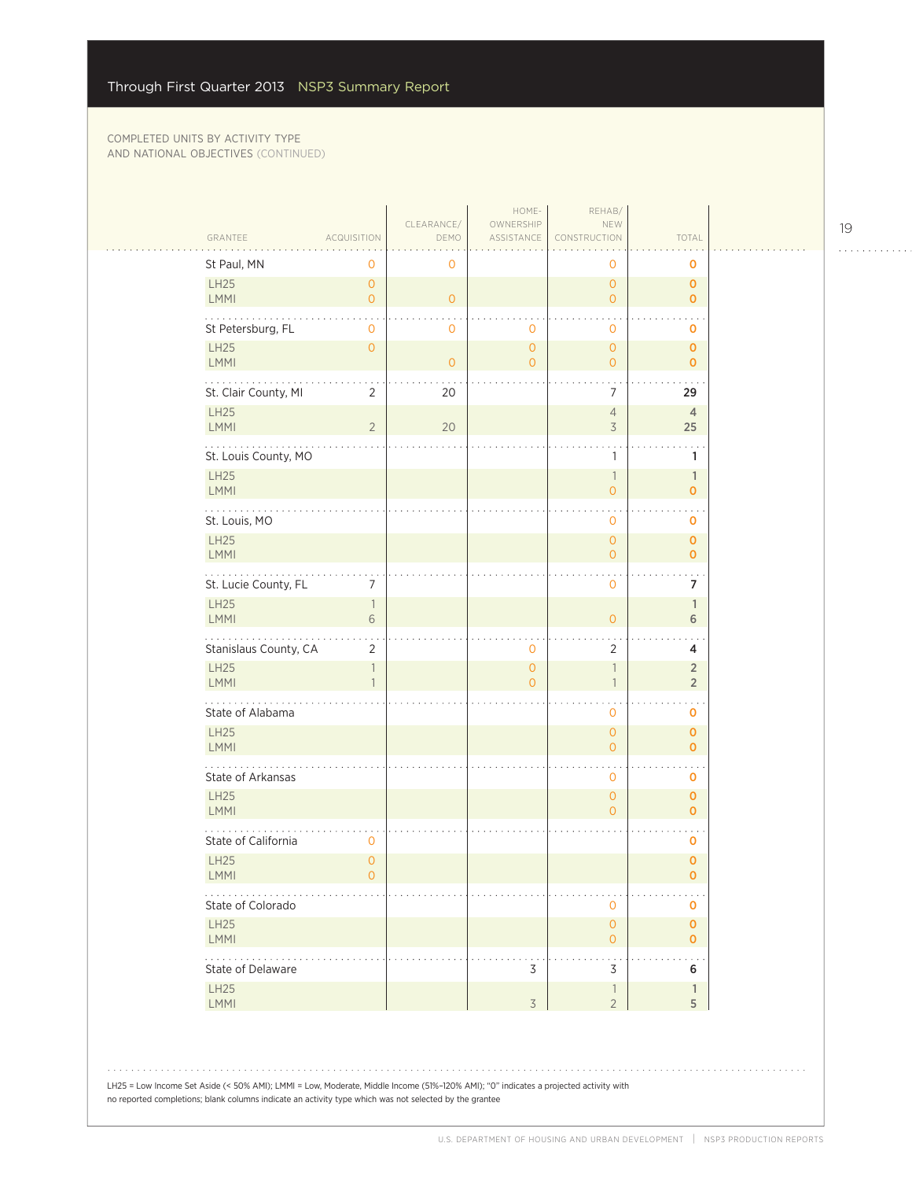| GRANTEE                                                                                                                              | <b>ACQUISITION</b>               | CLEARANCE/<br>DEMO | HOME-<br>OWNERSHIP<br>ASSISTANCE | REHAB/<br>NEW<br>CONSTRUCTION              | TOTAL                            |
|--------------------------------------------------------------------------------------------------------------------------------------|----------------------------------|--------------------|----------------------------------|--------------------------------------------|----------------------------------|
| St Paul, MN                                                                                                                          | 0                                | 0                  |                                  | 0                                          | 0                                |
| LH25<br><b>LMMI</b>                                                                                                                  | $\overline{0}$<br>$\overline{0}$ | $\overline{O}$     |                                  | $\overline{0}$<br>$\overline{O}$           | 0<br>$\mathbf{O}$                |
| St Petersburg, FL                                                                                                                    | $\mathbf{0}$                     | 0                  | $\circ$                          | $\mathbf 0$                                | 0                                |
| <b>LH25</b><br><b>LMMI</b>                                                                                                           | $\overline{0}$                   | $\overline{O}$     | $\mathbf 0$<br>$\overline{O}$    | $\overline{O}$<br>$\overline{0}$           | 0<br>$\mathbf{o}$                |
| St. Clair County, MI                                                                                                                 | 2                                | 20                 |                                  | 7                                          | 29                               |
| <b>LH25</b><br>LMMI                                                                                                                  | $\overline{2}$                   | 20                 |                                  | $\overline{4}$<br>3                        | $\overline{4}$<br>25             |
| St. Louis County, MO                                                                                                                 |                                  |                    |                                  | 1                                          | 1                                |
| <b>LH25</b><br>LMMI                                                                                                                  |                                  |                    |                                  | $\overline{1}$<br>$\overline{0}$           | $\mathbb{1}$<br>$\mathbf{o}$     |
| St. Louis, MO                                                                                                                        |                                  |                    |                                  | 0                                          | 0                                |
| <b>LH25</b><br>LMMI                                                                                                                  |                                  |                    |                                  | $\mathsf{O}\xspace$<br>$\overline{O}$      | $\overline{0}$<br>$\mathbf{O}$   |
| St. Lucie County, FL                                                                                                                 | 7                                |                    |                                  | $\ddot{\phantom{0}}$<br>$\mathbf 0$        | 7                                |
| <b>LH25</b><br>LMMI                                                                                                                  | $\overline{1}$<br>6              |                    |                                  | $\overline{O}$                             | $\mathbf{1}$<br>6                |
| Stanislaus County, CA                                                                                                                | 2                                |                    | 0                                | 2                                          | 4                                |
| <b>LH25</b><br>LMMI                                                                                                                  | $\overline{1}$<br>$\mathbf{1}$   |                    | $\mathbf{O}$<br>$\Omega$         | $\overline{1}$<br>$\overline{1}$           | $\overline{2}$<br>$\overline{2}$ |
| State of Alabama                                                                                                                     |                                  |                    |                                  | 0                                          | 0                                |
| <b>LH25</b><br>LMMI                                                                                                                  |                                  |                    |                                  | $\overline{O}$<br>$\overline{0}$           | 0<br>$\mathbf{o}$                |
| State of Arkansas                                                                                                                    |                                  |                    |                                  | $\mathbf 0$                                | 0                                |
| <b>LH25</b><br>LMMI                                                                                                                  |                                  |                    |                                  | $\overline{O}$<br>$\circ$                  | $\mathbf{o}$<br>$\mathbf{o}$     |
| State of California                                                                                                                  | $\mathbf{0}$                     |                    |                                  |                                            | 0                                |
| <b>LH25</b><br><b>LMMI</b>                                                                                                           | $\overline{O}$<br>0              |                    |                                  |                                            | $\overline{0}$<br>0              |
| $\ddotsc$<br>State of Colorado                                                                                                       |                                  |                    |                                  | $\mathbf 0$                                | 0                                |
| LH25<br>LMMI                                                                                                                         |                                  |                    |                                  | $\mathsf{O}\xspace$<br>$\mathbf{O}$        | 0<br>0                           |
| والمتمام والمناور<br>State of Delaware                                                                                               |                                  |                    | 3                                | $\bullet$ .<br>3                           | 6                                |
| <b>LH25</b><br>LMMI                                                                                                                  |                                  |                    | 3                                | $\overline{\phantom{a}}$<br>$\overline{2}$ | $\mathbb{1}$<br>5                |
|                                                                                                                                      |                                  |                    |                                  |                                            |                                  |
| LH25 = Low Income Set Aside (< 50% AMI); LMMI = Low, Moderate, Middle Income (51%-120% AMI); "O" indicates a projected activity with |                                  |                    |                                  |                                            |                                  |

. . . . . . . . . . . .

الأنباء

 $\bar{z}$  ,  $\bar{z}$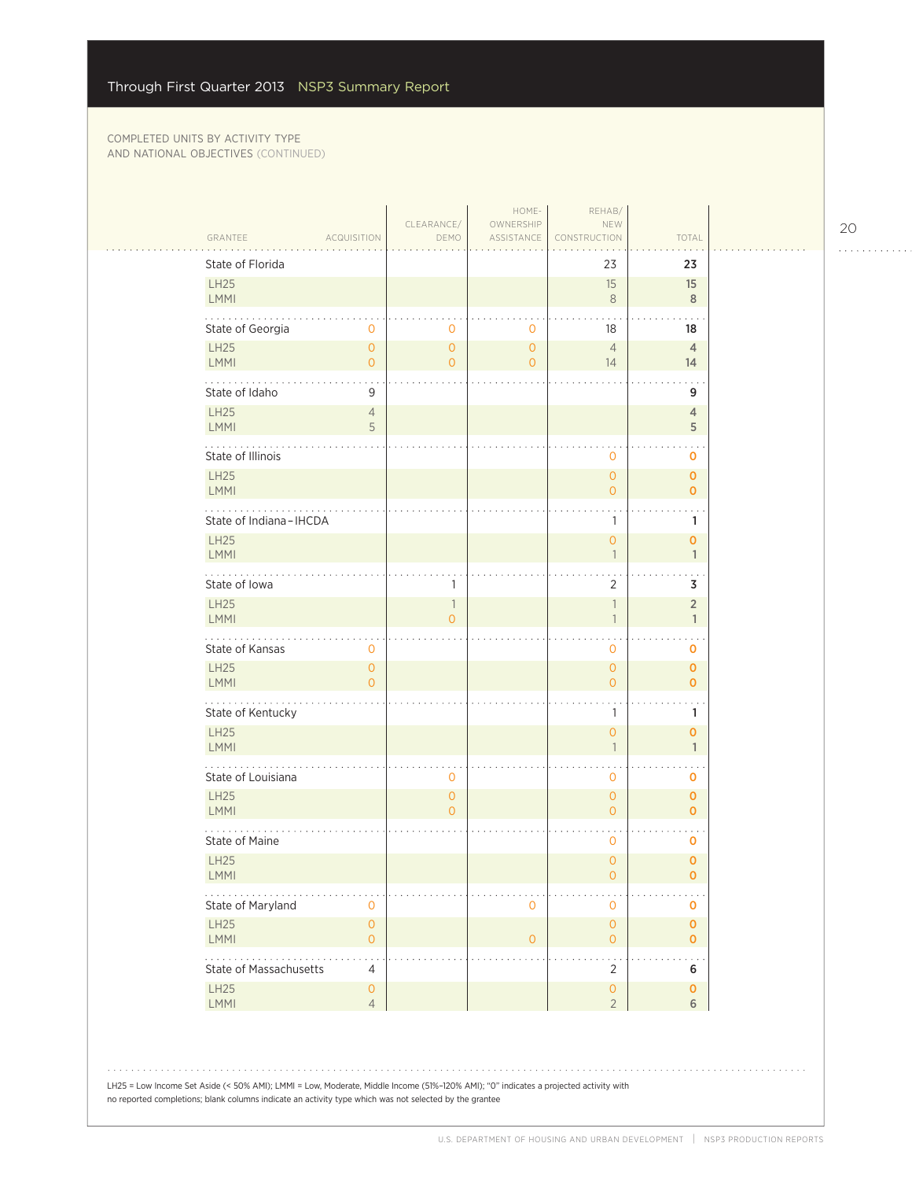| GRANTEE<br><b>ACQUISITION</b>                           | DEMO                                 | ASSISTANCE                       | CONSTRUCTION                               | TOTAL                          |
|---------------------------------------------------------|--------------------------------------|----------------------------------|--------------------------------------------|--------------------------------|
| State of Florida<br><b>LH25</b>                         |                                      |                                  | 23<br>15                                   | 23<br>15                       |
| LMMI                                                    |                                      |                                  | $\,8\,$                                    | 8                              |
| State of Georgia<br>0                                   | 0                                    | $\circ$                          | 18                                         | 18                             |
| <b>LH25</b><br>$\overline{O}$<br>LMMI<br>$\overline{O}$ | $\overline{0}$<br>$\overline{0}$     | $\overline{O}$<br>$\overline{O}$ | $\overline{4}$<br>14                       | $\overline{4}$<br>14           |
| .                                                       |                                      |                                  |                                            |                                |
| State of Idaho<br>9<br><b>LH25</b><br>$\overline{4}$    |                                      |                                  |                                            | 9<br>$\overline{4}$            |
| LMMI<br>5                                               |                                      |                                  |                                            | 5                              |
| State of Illinois                                       |                                      |                                  | 0                                          | O                              |
| <b>LH25</b><br>LMMI                                     |                                      |                                  | $\overline{0}$<br>$\mathbf 0$              | $\mathbf 0$<br>$\mathbf 0$     |
| State of Indiana-IHCDA                                  |                                      |                                  | 1                                          | 1                              |
| <b>LH25</b><br>LMMI                                     |                                      |                                  | $\overline{0}$<br>$\overline{\phantom{a}}$ | $\mathbf{O}$<br>$\mathbf{1}$   |
| والمتمام والمتماري<br>State of Iowa                     | 1                                    |                                  | $\overline{2}$                             | 3                              |
| <b>LH25</b><br>LMMI                                     | $\overline{\phantom{a}}$<br>$\Omega$ |                                  | $\mathbb{1}$<br>$\overline{1}$             | $\overline{2}$<br>$\mathbf{1}$ |
| State of Kansas<br>0                                    |                                      |                                  | 0                                          | 0                              |
| <b>LH25</b><br>$\mathbf{O}$<br>LMMI<br>$\overline{O}$   |                                      |                                  | $\mathsf{O}\xspace$<br>$\overline{0}$      | $\mathbf 0$<br>$\overline{0}$  |
| .<br>State of Kentucky                                  |                                      |                                  | 1                                          | 1                              |
| <b>LH25</b><br>LMMI                                     |                                      |                                  | $\overline{0}$<br>$\overline{1}$           | $\mathbf{O}$<br>$\mathbf{1}$   |
| State of Louisiana                                      | $\mathbf 0$                          |                                  | 0                                          | $\mathbf 0$                    |
| <b>LH25</b><br>LMMI                                     | $\circ$<br>$\Omega$                  |                                  | $\overline{0}$<br>$\overline{0}$           | $\mathbf 0$<br>$\mathbf 0$     |
| State of Maine                                          |                                      |                                  | 0                                          | O                              |
| <b>LH25</b><br><b>LMMI</b>                              |                                      |                                  | $\overline{0}$<br>0                        | $\mathbf 0$<br>0               |
| State of Maryland<br>$\mathbf 0$                        |                                      | $\mathbf{0}$                     | $\mathsf{O}\xspace$                        | 0                              |
| LH25<br>$\mathsf{O}\xspace$<br>LMMI<br>$\circ$          |                                      | $\circ$                          | $\mathsf{O}\xspace$<br>$\overline{0}$      | $\mathbf{O}$<br>$\mathbf{o}$   |
| $\ldots$ .<br>State of Massachusetts<br>4               |                                      |                                  | $\star$<br>$\overline{2}$                  | 6                              |
| LH25<br>$\mathsf{O}\xspace$<br>LMMI<br>$\overline{4}$   |                                      |                                  | $\mathsf{O}\xspace$<br>$\overline{2}$      | $\mathbf 0$<br>6               |
|                                                         |                                      |                                  |                                            |                                |

no reported completions; blank columns indicate an activity type which was not selected by the grantee

20

. . . . . . . . . . . .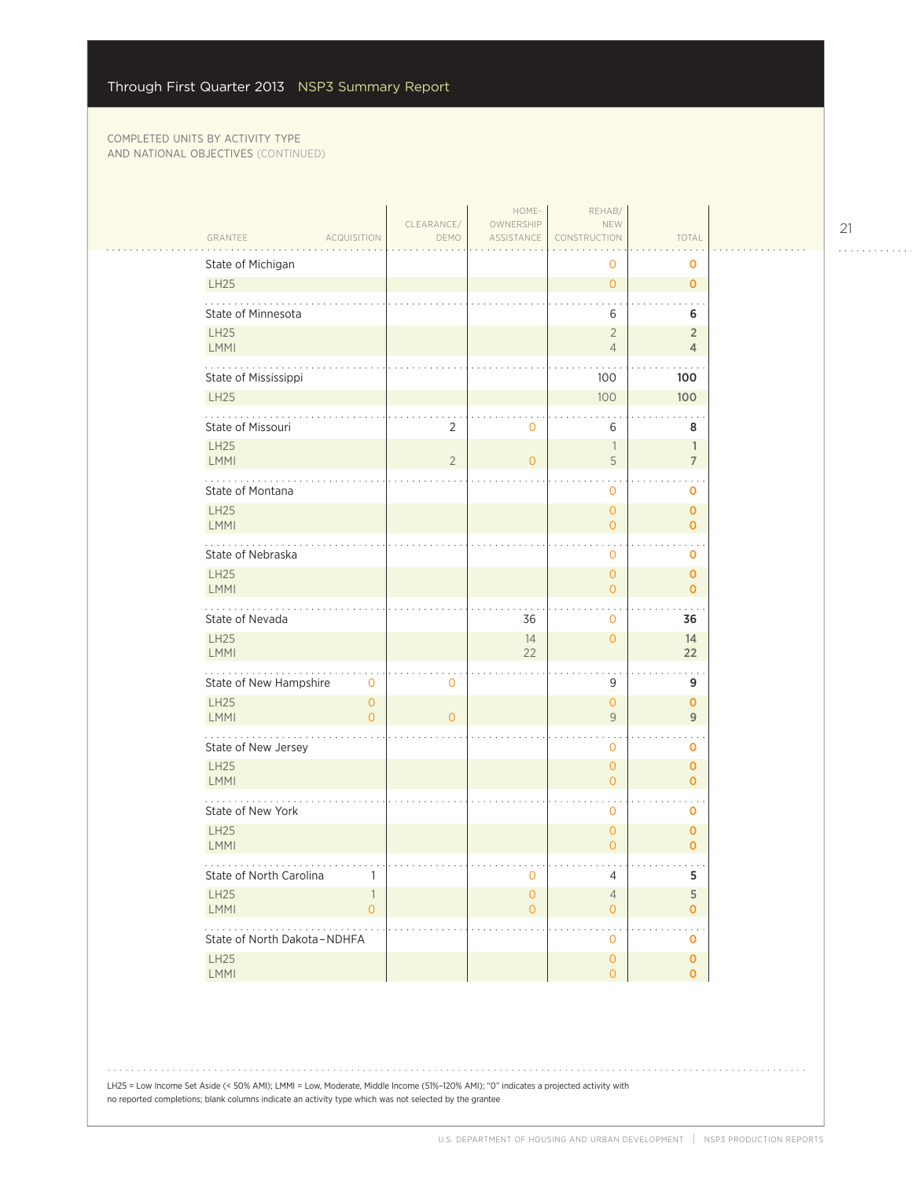$\mathcal{L}_{\mathcal{A}}$ 

|                                  |                          | CLEARANCE/     | HOME-<br>OWNERSHIP            | REHAB/<br>NEW                    |                                |  |
|----------------------------------|--------------------------|----------------|-------------------------------|----------------------------------|--------------------------------|--|
| GRANTEE                          | <b>ACQUISITION</b>       | DEMO           | ASSISTANCE                    | CONSTRUCTION                     | TOTAL                          |  |
| State of Michigan                |                          |                |                               | 0                                | 0                              |  |
| <b>LH25</b>                      |                          |                |                               | $\overline{O}$                   | $\mathbf{0}$                   |  |
| State of Minnesota               |                          |                |                               | 6                                | 6                              |  |
| <b>LH25</b><br>LMMI              |                          |                |                               | $\sqrt{2}$<br>$\overline{4}$     | $\overline{2}$<br>4            |  |
| State of Mississippi             |                          |                |                               | 100                              | 100                            |  |
| <b>LH25</b>                      |                          |                |                               | 100                              | 100                            |  |
| .<br>State of Missouri           |                          | 2              | 0                             | 6                                | 8                              |  |
| <b>LH25</b><br>LMMI              |                          | $\overline{2}$ | $\overline{O}$                | $\overline{\phantom{a}}$<br>5    | $\mathbb{1}$<br>$\overline{7}$ |  |
| State of Montana                 |                          |                |                               | $\mathbf{O}$                     | 0                              |  |
| <b>LH25</b><br>LMMI              |                          |                |                               | $\overline{O}$<br>$\overline{O}$ | $\mathbf 0$<br>$\mathbf{O}$    |  |
| State of Nebraska                |                          |                |                               | $\mathbf 0$                      | 0                              |  |
| <b>LH25</b><br>LMMI              |                          |                |                               | $\overline{O}$<br>$\overline{0}$ | $\mathbf{O}$<br>$\mathbf{O}$   |  |
| State of Nevada                  |                          |                | 36                            | $\mathbf{0}$                     | 36                             |  |
| <b>LH25</b><br>LMMI              |                          |                | 14<br>22                      | $\overline{0}$                   | 14<br>22                       |  |
| State of New Hampshire           | $\mathbf 0$              | $\overline{0}$ |                               | 9                                | 9                              |  |
| <b>LH25</b><br>LMMI              | $\mathbf{O}$<br>$\Omega$ | $\overline{0}$ |                               | $\mathsf{O}\xspace$<br>9         | $\mathbf 0$<br>9               |  |
| 202020<br>State of New Jersey    |                          |                |                               | $\mathbf 0$                      | o                              |  |
| <b>LH25</b><br>LMMI              |                          |                |                               | $\overline{0}$<br>$\Omega$       | $\mathbf{O}$<br>$\mathbf{O}$   |  |
| State of New York                |                          |                |                               | $\mathbf{0}$                     | 0                              |  |
| <b>LH25</b><br>LMMI              |                          |                |                               | $\overline{0}$<br>$\overline{O}$ | $\mathbf 0$<br>$\mathbf{O}$    |  |
| .<br>State of North Carolina     |                          |                | 0                             | 4                                | 5                              |  |
| LH25<br>LMMI                     | 1<br>$\overline{O}$      |                | $\mathbf 0$<br>$\overline{0}$ | $\overline{4}$<br>$\overline{O}$ | 5<br>$\overline{O}$            |  |
| .<br>State of North Dakota-NDHFA |                          |                |                               | $\mathbf{O}$                     | o                              |  |
| <b>LH25</b><br>LMMI              |                          |                |                               | $\circ$<br>$\overline{O}$        | $\mathbf{O}$<br>$\mathbf 0$    |  |
|                                  |                          |                |                               |                                  |                                |  |

LH25 = Low Income Set Aside (< 50% AMI); LMMI = Low, Moderate, Middle Income (51%–120% AMI); "0" indicates a projected activity with no reported completions; blank columns indicate an activity type which was not selected by the grantee

21

. . . . . . . . . . . .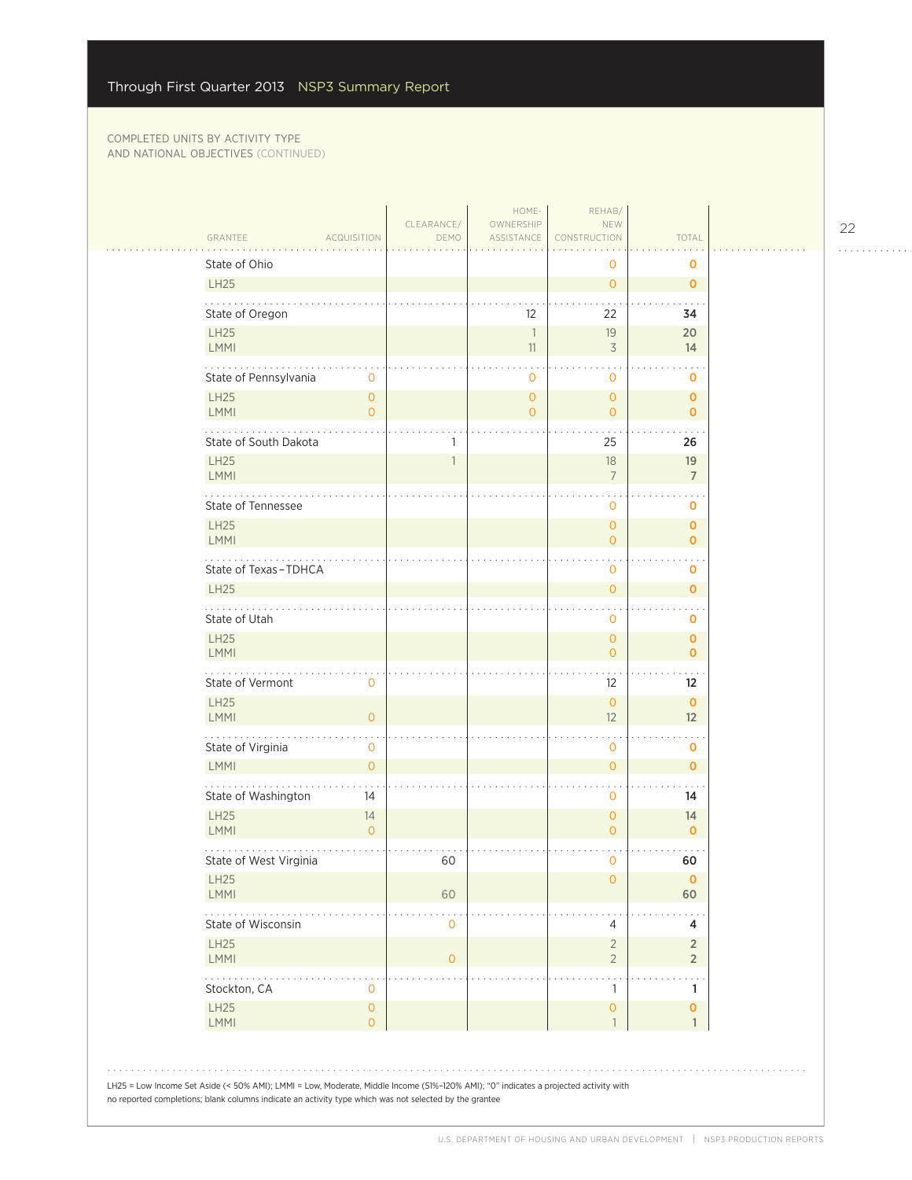|                                                                                                                                                                                                                                                | CLEARANCE/   | HOME-<br>OWNERSHIP             | REHAB/<br>NEW                         |                                  |  |
|------------------------------------------------------------------------------------------------------------------------------------------------------------------------------------------------------------------------------------------------|--------------|--------------------------------|---------------------------------------|----------------------------------|--|
| GRANTEE<br><b>ACQUISITION</b>                                                                                                                                                                                                                  | DEMO         | ASSISTANCE                     | CONSTRUCTION                          | TOTAL                            |  |
| State of Ohio<br>LH25                                                                                                                                                                                                                          |              |                                | 0                                     | 0                                |  |
|                                                                                                                                                                                                                                                |              |                                | $\overline{O}$                        | $\mathbf 0$                      |  |
| State of Oregon                                                                                                                                                                                                                                |              | $12 \overline{ }$              | 22                                    | 34                               |  |
| <b>LH25</b><br>LMMI                                                                                                                                                                                                                            |              | $\overline{\phantom{a}}$<br>11 | 19<br>$\overline{3}$                  | 20<br>14                         |  |
| State of Pennsylvania<br>$\mathbf 0$                                                                                                                                                                                                           |              | 0                              | 0                                     | 0                                |  |
| LH25<br>$\mathsf{O}\xspace$<br>LMMI<br>$\overline{0}$                                                                                                                                                                                          |              | $\overline{0}$<br>$\circ$      | $\mathsf{O}\xspace$<br>$\overline{O}$ | $\mathbf 0$<br>$\mathbf{O}$      |  |
| State of South Dakota                                                                                                                                                                                                                          |              |                                | 25                                    | 26                               |  |
| <b>LH25</b><br>LMMI                                                                                                                                                                                                                            |              |                                | 18<br>$\overline{7}$                  | 19<br>$\overline{7}$             |  |
| State of Tennessee                                                                                                                                                                                                                             |              |                                | $\mathbf{O}$                          | 0                                |  |
| LH25<br>LMMI                                                                                                                                                                                                                                   |              |                                | $\overline{O}$<br>$\overline{O}$      | 0<br>$\mathbf{O}$                |  |
| State of Texas-TDHCA                                                                                                                                                                                                                           |              |                                | 0                                     | 0                                |  |
| <b>LH25</b>                                                                                                                                                                                                                                    |              |                                | $\overline{O}$                        | 0                                |  |
| State of Utah                                                                                                                                                                                                                                  |              |                                | 0                                     | 0                                |  |
| <b>LH25</b><br>LMMI                                                                                                                                                                                                                            |              |                                | $\overline{O}$<br>$\overline{O}$      | $\mathbf 0$<br>$\mathbf{o}$      |  |
| State of Vermont<br>$\mathbf{0}$                                                                                                                                                                                                               |              |                                | 12                                    | $12 \overline{ }$                |  |
| <b>LH25</b><br>$\mathsf{O}\xspace$<br>LMMI                                                                                                                                                                                                     |              |                                | $\overline{O}$<br>12                  | $\mathbf{O}$<br>12               |  |
| .<br>State of Virginia<br>0                                                                                                                                                                                                                    |              |                                | 0                                     | 0                                |  |
| LMMI<br>$\overline{O}$                                                                                                                                                                                                                         |              |                                | $\overline{O}$                        | 0                                |  |
| State of Washington<br>14                                                                                                                                                                                                                      |              |                                | 0                                     | 14                               |  |
| <b>LH25</b><br>14<br>LMMI<br>$\overline{0}$                                                                                                                                                                                                    |              |                                | $\overline{O}$<br>$\overline{O}$      | 14<br>$\mathbf 0$                |  |
| State of West Virginia                                                                                                                                                                                                                         | 60           |                                | 0                                     | 60                               |  |
| LH25<br>LMMI                                                                                                                                                                                                                                   | 60           |                                | $\mathsf{O}\xspace$                   | $\circ$<br>60                    |  |
| State of Wisconsin                                                                                                                                                                                                                             | $\mathbf 0$  |                                | 4                                     | 4                                |  |
| <b>LH25</b><br>LMMI                                                                                                                                                                                                                            | $\mathbf{O}$ |                                | $\sqrt{2}$<br>$\overline{2}$          | $\overline{2}$<br>$\overline{2}$ |  |
| <b><i><u>Property</u></i></b><br>Stockton, CA<br>0                                                                                                                                                                                             |              |                                | $\mathbf{r}$<br>1                     | 1                                |  |
| LH25<br>$\mathsf{O}\xspace$<br>LMMI<br>$\mathbf 0$                                                                                                                                                                                             |              |                                | $\mathbf{0}$<br>$\overline{1}$        | 0<br>$\mathbf{1}$                |  |
| LH25 = Low Income Set Aside (< 50% AMI); LMMI = Low, Moderate, Middle Income (51%-120% AMI); "O" indicates a projected activity with<br>no reported completions; blank columns indicate an activity type which was not selected by the grantee |              |                                |                                       |                                  |  |

22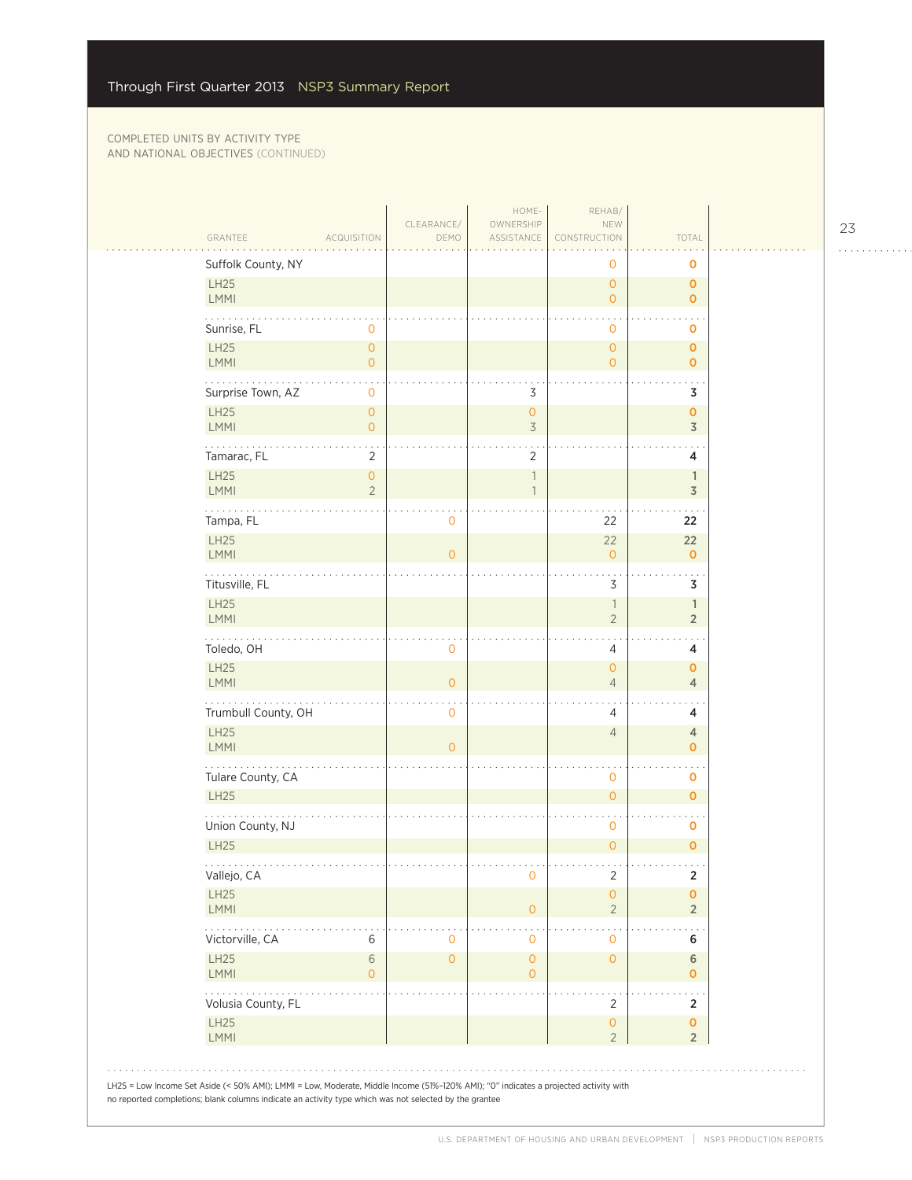| GRANTEE                          | <b>ACQUISITION</b>                    | CLEARANCE/<br>DEMO | OWNERSHIP<br>ASSISTANCE          | NEW<br>CONSTRUCTION                        | TOTAL                          |
|----------------------------------|---------------------------------------|--------------------|----------------------------------|--------------------------------------------|--------------------------------|
| Suffolk County, NY<br>LH25       |                                       |                    |                                  | 0<br>$\circ$                               | 0<br>$\mathbf 0$               |
| LMMI                             |                                       |                    |                                  | $\circ$                                    | $\mathbf 0$                    |
| Sunrise, FL<br>LH25              | $\mathbf 0$<br>$\mathbf{O}$           |                    |                                  | $\mathbf{O}$<br>$\circ$                    | 0<br>$\mathbf 0$               |
| <b>LMMI</b>                      | $\overline{0}$                        |                    |                                  | $\circ$                                    | $\mathbf 0$                    |
| .<br>Surprise Town, AZ           | $\mathbf 0$                           |                    | 3                                |                                            | 3                              |
| LH25<br><b>LMMI</b>              | $\mathsf{O}\xspace$<br>$\overline{O}$ |                    | $\overline{O}$<br>$\overline{3}$ |                                            | $\mathbf 0$<br>$\overline{3}$  |
| Tamarac, FL                      | $\overline{2}$                        |                    | $\overline{2}$                   |                                            | 4                              |
| LH25<br>LMMI                     | $\mathbf{O}$<br>$\overline{2}$        |                    | $\overline{1}$                   |                                            | $\mathbb{1}$<br>$\overline{3}$ |
| Tampa, FL                        |                                       | 0                  |                                  | 22                                         | 22                             |
| LH25<br><b>LMMI</b>              |                                       | $\overline{0}$     |                                  | 22<br>$\circ$                              | 22<br>$\mathbf 0$              |
| والمالم المالم<br>Titusville, FL |                                       |                    |                                  | 3                                          | 3                              |
| LH25<br><b>LMMI</b>              |                                       |                    |                                  | $\overline{\phantom{a}}$<br>$\overline{2}$ | $\mathbb{1}$<br>$\overline{2}$ |
| Toledo, OH                       |                                       | 0                  |                                  | $\sim$<br>4                                | 4                              |
| LH25<br><b>LMMI</b>              |                                       | $\overline{O}$     |                                  | $\circ$<br>$\sqrt{4}$                      | $\mathbf 0$<br>$\overline{4}$  |
| .<br>Trumbull County, OH         |                                       | 0                  |                                  | 4                                          | 4                              |
| LH25<br>LMMI                     |                                       | $\overline{O}$     |                                  | $\overline{4}$                             | $\overline{4}$<br>$\mathbf 0$  |
| Tulare County, CA                |                                       |                    |                                  | $\mathbf 0$                                | o                              |
| <b>LH25</b>                      |                                       |                    |                                  | $\mathsf{O}\xspace$                        | $\mathbf 0$                    |
| Union County, NJ                 |                                       |                    |                                  | $\mathbf{0}$                               | 0                              |
| LH25<br>.                        |                                       |                    |                                  | $\mathsf{O}\xspace$                        | $\mathbf 0$                    |
| Vallejo, CA                      |                                       |                    | 0                                | 2                                          | 2                              |
| LH25<br>LMMI                     |                                       |                    | $\mathbf{O}$                     | $\mathsf{O}\xspace$<br>$\overline{2}$      | $\pmb{0}$<br>$\overline{2}$    |
| Victorville, CA                  | 6                                     | 0                  | $\mathbf 0$                      | $\mathbf{O}$                               | 6                              |
| LH25<br>LMMI                     | $\sqrt{6}$<br>$\overline{0}$          | $\overline{0}$     | $\mathbf{O}$<br>$\mathbf{0}$     | $\circ$                                    | $\,$ 6 $\,$<br>0               |
| $\cdots$<br>Volusia County, FL   |                                       |                    |                                  | 2                                          | $\overline{2}$                 |
| LH25<br>LMMI                     |                                       |                    |                                  | $\mathsf{O}\xspace$<br>$\overline{2}$      | $\mathbf 0$<br>$2^{\circ}$     |

23